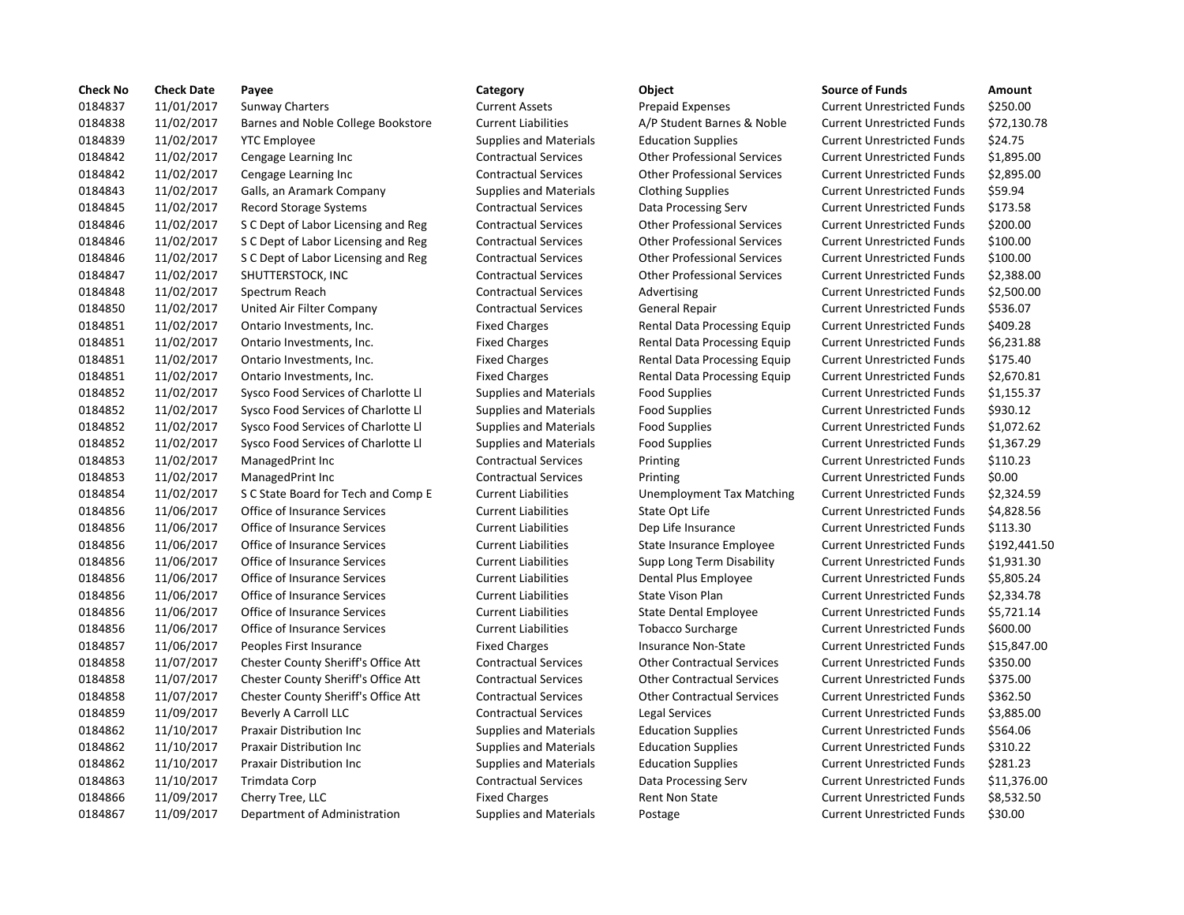| <b>Check No</b> | <b>Check Date</b> | Payee                               | Category                      | Object                             | <b>Source of Funds</b>            | Amount    |
|-----------------|-------------------|-------------------------------------|-------------------------------|------------------------------------|-----------------------------------|-----------|
| 0184837         | 11/01/2017        | <b>Sunway Charters</b>              | <b>Current Assets</b>         | <b>Prepaid Expenses</b>            | <b>Current Unrestricted Funds</b> | \$250.00  |
| 0184838         | 11/02/2017        | Barnes and Noble College Bookstore  | <b>Current Liabilities</b>    | A/P Student Barnes & Noble         | <b>Current Unrestricted Funds</b> | \$72,130  |
| 0184839         | 11/02/2017        | <b>YTC Employee</b>                 | <b>Supplies and Materials</b> | <b>Education Supplies</b>          | <b>Current Unrestricted Funds</b> | \$24.75   |
| 0184842         | 11/02/2017        | Cengage Learning Inc                | <b>Contractual Services</b>   | <b>Other Professional Services</b> | <b>Current Unrestricted Funds</b> | \$1,895.0 |
| 0184842         | 11/02/2017        | Cengage Learning Inc                | <b>Contractual Services</b>   | <b>Other Professional Services</b> | <b>Current Unrestricted Funds</b> | \$2,895.0 |
| 0184843         | 11/02/2017        | Galls, an Aramark Company           | <b>Supplies and Materials</b> | <b>Clothing Supplies</b>           | <b>Current Unrestricted Funds</b> | \$59.94   |
| 0184845         | 11/02/2017        | Record Storage Systems              | <b>Contractual Services</b>   | Data Processing Serv               | <b>Current Unrestricted Funds</b> | \$173.58  |
| 0184846         | 11/02/2017        | S C Dept of Labor Licensing and Reg | <b>Contractual Services</b>   | <b>Other Professional Services</b> | <b>Current Unrestricted Funds</b> | \$200.00  |
| 0184846         | 11/02/2017        | S C Dept of Labor Licensing and Reg | <b>Contractual Services</b>   | <b>Other Professional Services</b> | <b>Current Unrestricted Funds</b> | \$100.00  |
| 0184846         | 11/02/2017        | S C Dept of Labor Licensing and Reg | <b>Contractual Services</b>   | <b>Other Professional Services</b> | <b>Current Unrestricted Funds</b> | \$100.00  |
| 0184847         | 11/02/2017        | SHUTTERSTOCK, INC                   | <b>Contractual Services</b>   | <b>Other Professional Services</b> | <b>Current Unrestricted Funds</b> | \$2,388.0 |
| 0184848         | 11/02/2017        | Spectrum Reach                      | <b>Contractual Services</b>   | Advertising                        | <b>Current Unrestricted Funds</b> | \$2,500.0 |
| 0184850         | 11/02/2017        | United Air Filter Company           | <b>Contractual Services</b>   | General Repair                     | <b>Current Unrestricted Funds</b> | \$536.07  |
| 0184851         | 11/02/2017        | Ontario Investments, Inc.           | <b>Fixed Charges</b>          | Rental Data Processing Equip       | <b>Current Unrestricted Funds</b> | \$409.28  |
| 0184851         | 11/02/2017        | Ontario Investments, Inc.           | <b>Fixed Charges</b>          | Rental Data Processing Equip       | <b>Current Unrestricted Funds</b> | \$6,231.8 |
| 0184851         | 11/02/2017        | Ontario Investments, Inc.           | <b>Fixed Charges</b>          | Rental Data Processing Equip       | <b>Current Unrestricted Funds</b> | \$175.40  |
| 0184851         | 11/02/2017        | Ontario Investments, Inc.           | <b>Fixed Charges</b>          | Rental Data Processing Equip       | <b>Current Unrestricted Funds</b> | \$2,670.8 |
| 0184852         | 11/02/2017        | Sysco Food Services of Charlotte Ll | <b>Supplies and Materials</b> | <b>Food Supplies</b>               | <b>Current Unrestricted Funds</b> | \$1,155.3 |
| 0184852         | 11/02/2017        | Sysco Food Services of Charlotte Ll | <b>Supplies and Materials</b> | <b>Food Supplies</b>               | <b>Current Unrestricted Funds</b> | \$930.12  |
| 0184852         | 11/02/2017        | Sysco Food Services of Charlotte Ll | <b>Supplies and Materials</b> | <b>Food Supplies</b>               | <b>Current Unrestricted Funds</b> | \$1,072.6 |
| 0184852         | 11/02/2017        | Sysco Food Services of Charlotte Ll | <b>Supplies and Materials</b> | <b>Food Supplies</b>               | <b>Current Unrestricted Funds</b> | \$1,367.2 |
| 0184853         | 11/02/2017        | ManagedPrint Inc                    | <b>Contractual Services</b>   | Printing                           | <b>Current Unrestricted Funds</b> | \$110.23  |
| 0184853         | 11/02/2017        | ManagedPrint Inc                    | <b>Contractual Services</b>   | Printing                           | <b>Current Unrestricted Funds</b> | \$0.00    |
| 0184854         | 11/02/2017        | S C State Board for Tech and Comp E | <b>Current Liabilities</b>    | Unemployment Tax Matching          | <b>Current Unrestricted Funds</b> | \$2,324.5 |
| 0184856         | 11/06/2017        | Office of Insurance Services        | <b>Current Liabilities</b>    | State Opt Life                     | <b>Current Unrestricted Funds</b> | \$4,828.5 |
| 0184856         | 11/06/2017        | Office of Insurance Services        | <b>Current Liabilities</b>    | Dep Life Insurance                 | <b>Current Unrestricted Funds</b> | \$113.30  |
| 0184856         | 11/06/2017        | Office of Insurance Services        | <b>Current Liabilities</b>    | State Insurance Employee           | <b>Current Unrestricted Funds</b> | \$192,44  |
| 0184856         | 11/06/2017        | Office of Insurance Services        | <b>Current Liabilities</b>    | Supp Long Term Disability          | <b>Current Unrestricted Funds</b> | \$1,931.3 |
| 0184856         | 11/06/2017        | Office of Insurance Services        | <b>Current Liabilities</b>    | Dental Plus Employee               | <b>Current Unrestricted Funds</b> | \$5,805.2 |
| 0184856         | 11/06/2017        | Office of Insurance Services        | <b>Current Liabilities</b>    | <b>State Vison Plan</b>            | <b>Current Unrestricted Funds</b> | \$2,334.7 |
| 0184856         | 11/06/2017        | Office of Insurance Services        | <b>Current Liabilities</b>    | <b>State Dental Employee</b>       | <b>Current Unrestricted Funds</b> | \$5,721.1 |
| 0184856         | 11/06/2017        | Office of Insurance Services        | <b>Current Liabilities</b>    | <b>Tobacco Surcharge</b>           | <b>Current Unrestricted Funds</b> | \$600.00  |
| 0184857         | 11/06/2017        | Peoples First Insurance             | <b>Fixed Charges</b>          | Insurance Non-State                | <b>Current Unrestricted Funds</b> | \$15,847  |
| 0184858         | 11/07/2017        | Chester County Sheriff's Office Att | <b>Contractual Services</b>   | <b>Other Contractual Services</b>  | <b>Current Unrestricted Funds</b> | \$350.00  |
| 0184858         | 11/07/2017        | Chester County Sheriff's Office Att | <b>Contractual Services</b>   | <b>Other Contractual Services</b>  | <b>Current Unrestricted Funds</b> | \$375.00  |
| 0184858         | 11/07/2017        | Chester County Sheriff's Office Att | <b>Contractual Services</b>   | <b>Other Contractual Services</b>  | <b>Current Unrestricted Funds</b> | \$362.50  |
| 0184859         | 11/09/2017        | Beverly A Carroll LLC               | <b>Contractual Services</b>   | Legal Services                     | <b>Current Unrestricted Funds</b> | \$3,885.0 |
| 0184862         | 11/10/2017        | Praxair Distribution Inc            | <b>Supplies and Materials</b> | <b>Education Supplies</b>          | <b>Current Unrestricted Funds</b> | \$564.06  |
| 0184862         | 11/10/2017        | <b>Praxair Distribution Inc</b>     | <b>Supplies and Materials</b> | <b>Education Supplies</b>          | <b>Current Unrestricted Funds</b> | \$310.22  |
| 0184862         | 11/10/2017        | <b>Praxair Distribution Inc</b>     | <b>Supplies and Materials</b> | <b>Education Supplies</b>          | <b>Current Unrestricted Funds</b> | \$281.23  |
| 0184863         | 11/10/2017        | Trimdata Corp                       | <b>Contractual Services</b>   | Data Processing Serv               | <b>Current Unrestricted Funds</b> | \$11,376  |
| 0184866         | 11/09/2017        | Cherry Tree, LLC                    | <b>Fixed Charges</b>          | <b>Rent Non State</b>              | <b>Current Unrestricted Funds</b> | \$8,532.5 |
| 0184867         | 11/09/2017        | Department of Administration        | <b>Supplies and Materials</b> | Postage                            | <b>Current Unrestricted Funds</b> | \$30.00   |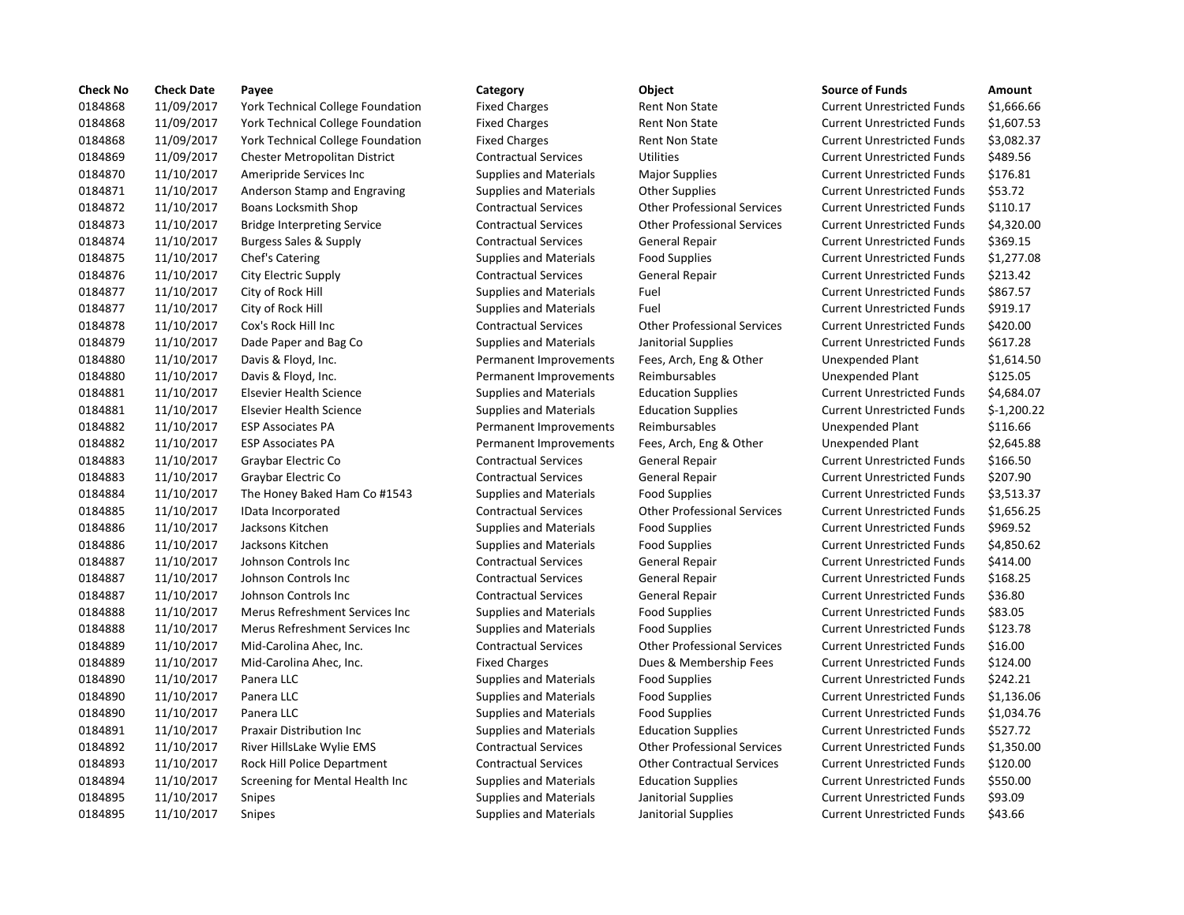| <b>Check No</b> | <b>Check Date</b> | Payee                                    | Category                      | Object                             | <b>Source of Funds</b>            | Amount     |
|-----------------|-------------------|------------------------------------------|-------------------------------|------------------------------------|-----------------------------------|------------|
| 0184868         | 11/09/2017        | York Technical College Foundation        | <b>Fixed Charges</b>          | <b>Rent Non State</b>              | <b>Current Unrestricted Funds</b> | \$1,666.6  |
| 0184868         | 11/09/2017        | <b>York Technical College Foundation</b> | <b>Fixed Charges</b>          | <b>Rent Non State</b>              | <b>Current Unrestricted Funds</b> | \$1,607.5  |
| 0184868         | 11/09/2017        | <b>York Technical College Foundation</b> | <b>Fixed Charges</b>          | <b>Rent Non State</b>              | <b>Current Unrestricted Funds</b> | \$3,082.3  |
| 0184869         | 11/09/2017        | <b>Chester Metropolitan District</b>     | <b>Contractual Services</b>   | <b>Utilities</b>                   | <b>Current Unrestricted Funds</b> | \$489.56   |
| 0184870         | 11/10/2017        | Ameripride Services Inc                  | <b>Supplies and Materials</b> | <b>Major Supplies</b>              | <b>Current Unrestricted Funds</b> | \$176.81   |
| 0184871         | 11/10/2017        | Anderson Stamp and Engraving             | <b>Supplies and Materials</b> | <b>Other Supplies</b>              | <b>Current Unrestricted Funds</b> | \$53.72    |
| 0184872         | 11/10/2017        | Boans Locksmith Shop                     | <b>Contractual Services</b>   | <b>Other Professional Services</b> | <b>Current Unrestricted Funds</b> | \$110.17   |
| 0184873         | 11/10/2017        | <b>Bridge Interpreting Service</b>       | <b>Contractual Services</b>   | <b>Other Professional Services</b> | <b>Current Unrestricted Funds</b> | \$4,320.0  |
| 0184874         | 11/10/2017        | <b>Burgess Sales &amp; Supply</b>        | <b>Contractual Services</b>   | <b>General Repair</b>              | <b>Current Unrestricted Funds</b> | \$369.15   |
| 0184875         | 11/10/2017        | Chef's Catering                          | <b>Supplies and Materials</b> | <b>Food Supplies</b>               | <b>Current Unrestricted Funds</b> | \$1,277.0  |
| 0184876         | 11/10/2017        | City Electric Supply                     | <b>Contractual Services</b>   | General Repair                     | <b>Current Unrestricted Funds</b> | \$213.42   |
| 0184877         | 11/10/2017        | City of Rock Hill                        | <b>Supplies and Materials</b> | Fuel                               | <b>Current Unrestricted Funds</b> | \$867.57   |
| 0184877         | 11/10/2017        | City of Rock Hill                        | <b>Supplies and Materials</b> | Fuel                               | <b>Current Unrestricted Funds</b> | \$919.17   |
| 0184878         | 11/10/2017        | Cox's Rock Hill Inc                      | <b>Contractual Services</b>   | <b>Other Professional Services</b> | <b>Current Unrestricted Funds</b> | \$420.00   |
| 0184879         | 11/10/2017        | Dade Paper and Bag Co                    | <b>Supplies and Materials</b> | Janitorial Supplies                | <b>Current Unrestricted Funds</b> | \$617.28   |
| 0184880         | 11/10/2017        | Davis & Floyd, Inc.                      | Permanent Improvements        | Fees, Arch, Eng & Other            | Unexpended Plant                  | \$1,614.5  |
| 0184880         | 11/10/2017        | Davis & Floyd, Inc.                      | Permanent Improvements        | Reimbursables                      | Unexpended Plant                  | \$125.05   |
| 0184881         | 11/10/2017        | <b>Elsevier Health Science</b>           | <b>Supplies and Materials</b> | <b>Education Supplies</b>          | <b>Current Unrestricted Funds</b> | \$4,684.0  |
| 0184881         | 11/10/2017        | <b>Elsevier Health Science</b>           | <b>Supplies and Materials</b> | <b>Education Supplies</b>          | <b>Current Unrestricted Funds</b> | $$-1,200.$ |
| 0184882         | 11/10/2017        | <b>ESP Associates PA</b>                 | Permanent Improvements        | Reimbursables                      | <b>Unexpended Plant</b>           | \$116.66   |
| 0184882         | 11/10/2017        | <b>ESP Associates PA</b>                 | Permanent Improvements        | Fees, Arch, Eng & Other            | Unexpended Plant                  | \$2,645.8  |
| 0184883         | 11/10/2017        | Graybar Electric Co                      | <b>Contractual Services</b>   | General Repair                     | <b>Current Unrestricted Funds</b> | \$166.50   |
| 0184883         | 11/10/2017        | Graybar Electric Co                      | <b>Contractual Services</b>   | General Repair                     | <b>Current Unrestricted Funds</b> | \$207.90   |
| 0184884         | 11/10/2017        | The Honey Baked Ham Co #1543             | <b>Supplies and Materials</b> | <b>Food Supplies</b>               | <b>Current Unrestricted Funds</b> | \$3,513.3  |
| 0184885         | 11/10/2017        | IData Incorporated                       | <b>Contractual Services</b>   | <b>Other Professional Services</b> | <b>Current Unrestricted Funds</b> | \$1,656.2  |
| 0184886         | 11/10/2017        | Jacksons Kitchen                         | <b>Supplies and Materials</b> | <b>Food Supplies</b>               | <b>Current Unrestricted Funds</b> | \$969.52   |
| 0184886         | 11/10/2017        | Jacksons Kitchen                         | <b>Supplies and Materials</b> | <b>Food Supplies</b>               | <b>Current Unrestricted Funds</b> | \$4,850.6  |
| 0184887         | 11/10/2017        | Johnson Controls Inc                     | <b>Contractual Services</b>   | General Repair                     | <b>Current Unrestricted Funds</b> | \$414.00   |
| 0184887         | 11/10/2017        | Johnson Controls Inc                     | <b>Contractual Services</b>   | General Repair                     | <b>Current Unrestricted Funds</b> | \$168.25   |
| 0184887         | 11/10/2017        | Johnson Controls Inc                     | <b>Contractual Services</b>   | General Repair                     | <b>Current Unrestricted Funds</b> | \$36.80    |
| 0184888         | 11/10/2017        | Merus Refreshment Services Inc           | <b>Supplies and Materials</b> | <b>Food Supplies</b>               | <b>Current Unrestricted Funds</b> | \$83.05    |
| 0184888         | 11/10/2017        | Merus Refreshment Services Inc           | <b>Supplies and Materials</b> | <b>Food Supplies</b>               | <b>Current Unrestricted Funds</b> | \$123.78   |
| 0184889         | 11/10/2017        | Mid-Carolina Ahec, Inc.                  | <b>Contractual Services</b>   | <b>Other Professional Services</b> | <b>Current Unrestricted Funds</b> | \$16.00    |
| 0184889         | 11/10/2017        | Mid-Carolina Ahec, Inc.                  | <b>Fixed Charges</b>          | Dues & Membership Fees             | <b>Current Unrestricted Funds</b> | \$124.00   |
| 0184890         | 11/10/2017        | Panera LLC                               | <b>Supplies and Materials</b> | <b>Food Supplies</b>               | <b>Current Unrestricted Funds</b> | \$242.21   |
| 0184890         | 11/10/2017        | Panera LLC                               | <b>Supplies and Materials</b> | <b>Food Supplies</b>               | <b>Current Unrestricted Funds</b> | \$1,136.0  |
| 0184890         | 11/10/2017        | Panera LLC                               | <b>Supplies and Materials</b> | <b>Food Supplies</b>               | <b>Current Unrestricted Funds</b> | \$1,034.7  |
| 0184891         | 11/10/2017        | <b>Praxair Distribution Inc</b>          | <b>Supplies and Materials</b> | <b>Education Supplies</b>          | <b>Current Unrestricted Funds</b> | \$527.72   |
| 0184892         | 11/10/2017        | River HillsLake Wylie EMS                | <b>Contractual Services</b>   | <b>Other Professional Services</b> | <b>Current Unrestricted Funds</b> | \$1,350.0  |
| 0184893         | 11/10/2017        | Rock Hill Police Department              | <b>Contractual Services</b>   | <b>Other Contractual Services</b>  | <b>Current Unrestricted Funds</b> | \$120.00   |
| 0184894         | 11/10/2017        | Screening for Mental Health Inc          | <b>Supplies and Materials</b> | <b>Education Supplies</b>          | <b>Current Unrestricted Funds</b> | \$550.00   |
| 0184895         | 11/10/2017        | Snipes                                   | <b>Supplies and Materials</b> | Janitorial Supplies                | <b>Current Unrestricted Funds</b> | \$93.09    |
| 0184895         | 11/10/2017        | Snipes                                   | <b>Supplies and Materials</b> | Janitorial Supplies                | <b>Current Unrestricted Funds</b> | \$43.66    |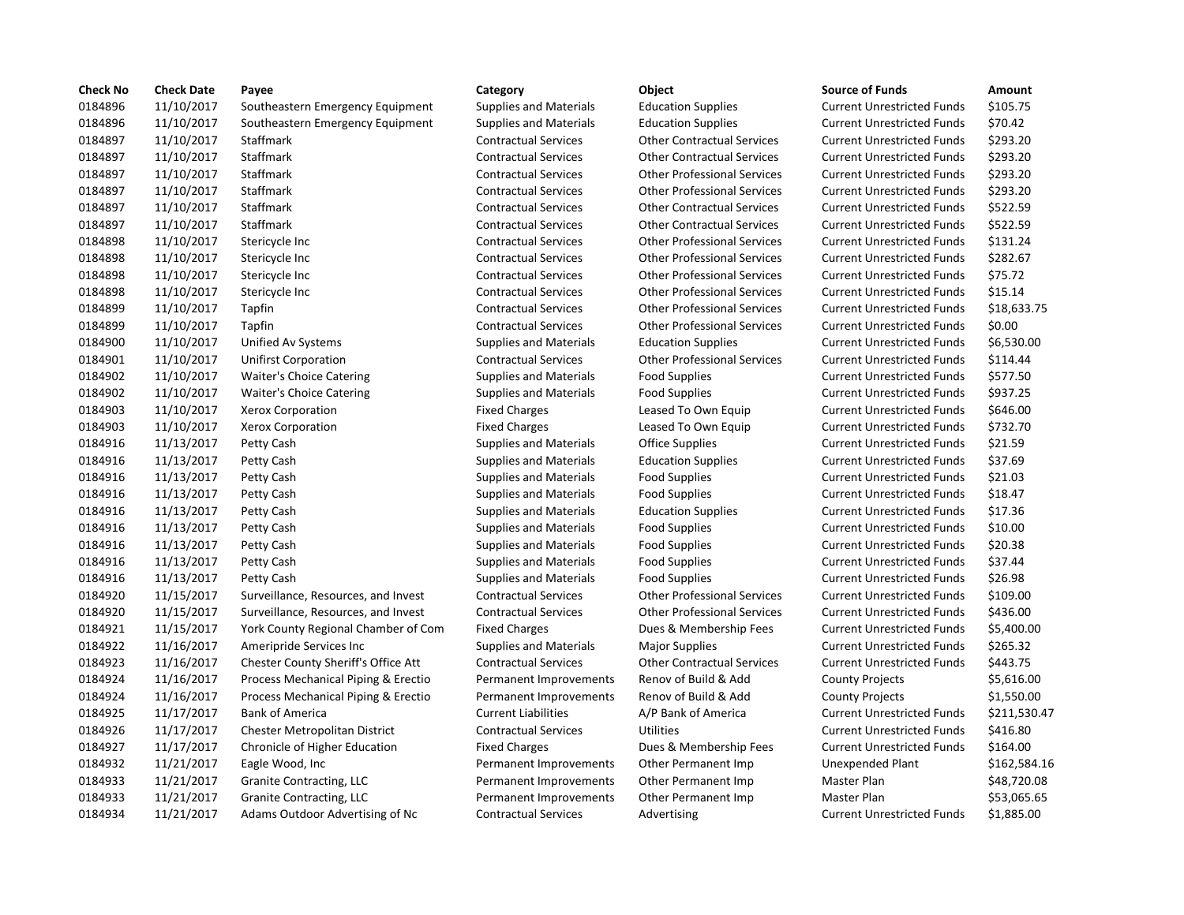| <b>Check No</b> | <b>Check Date</b> | Payee                                | Category                      | Object                             | <b>Source of Funds</b>            | Amount    |
|-----------------|-------------------|--------------------------------------|-------------------------------|------------------------------------|-----------------------------------|-----------|
| 0184896         | 11/10/2017        | Southeastern Emergency Equipment     | <b>Supplies and Materials</b> | <b>Education Supplies</b>          | <b>Current Unrestricted Funds</b> | \$105.75  |
| 0184896         | 11/10/2017        | Southeastern Emergency Equipment     | <b>Supplies and Materials</b> | <b>Education Supplies</b>          | <b>Current Unrestricted Funds</b> | \$70.42   |
| 0184897         | 11/10/2017        | Staffmark                            | <b>Contractual Services</b>   | <b>Other Contractual Services</b>  | <b>Current Unrestricted Funds</b> | \$293.20  |
| 0184897         | 11/10/2017        | Staffmark                            | <b>Contractual Services</b>   | <b>Other Contractual Services</b>  | <b>Current Unrestricted Funds</b> | \$293.20  |
| 0184897         | 11/10/2017        | Staffmark                            | <b>Contractual Services</b>   | <b>Other Professional Services</b> | <b>Current Unrestricted Funds</b> | \$293.20  |
| 0184897         | 11/10/2017        | Staffmark                            | <b>Contractual Services</b>   | <b>Other Professional Services</b> | <b>Current Unrestricted Funds</b> | \$293.20  |
| 0184897         | 11/10/2017        | Staffmark                            | <b>Contractual Services</b>   | <b>Other Contractual Services</b>  | <b>Current Unrestricted Funds</b> | \$522.59  |
| 0184897         | 11/10/2017        | Staffmark                            | <b>Contractual Services</b>   | <b>Other Contractual Services</b>  | <b>Current Unrestricted Funds</b> | \$522.59  |
| 0184898         | 11/10/2017        | Stericycle Inc                       | <b>Contractual Services</b>   | <b>Other Professional Services</b> | <b>Current Unrestricted Funds</b> | \$131.24  |
| 0184898         | 11/10/2017        | Stericycle Inc                       | <b>Contractual Services</b>   | <b>Other Professional Services</b> | <b>Current Unrestricted Funds</b> | \$282.67  |
| 0184898         | 11/10/2017        | Stericycle Inc                       | <b>Contractual Services</b>   | <b>Other Professional Services</b> | <b>Current Unrestricted Funds</b> | \$75.72   |
| 0184898         | 11/10/2017        | Stericycle Inc                       | <b>Contractual Services</b>   | <b>Other Professional Services</b> | <b>Current Unrestricted Funds</b> | \$15.14   |
| 0184899         | 11/10/2017        | Tapfin                               | <b>Contractual Services</b>   | <b>Other Professional Services</b> | <b>Current Unrestricted Funds</b> | \$18,633  |
| 0184899         | 11/10/2017        | Tapfin                               | <b>Contractual Services</b>   | <b>Other Professional Services</b> | <b>Current Unrestricted Funds</b> | \$0.00    |
| 0184900         | 11/10/2017        | Unified Av Systems                   | <b>Supplies and Materials</b> | <b>Education Supplies</b>          | <b>Current Unrestricted Funds</b> | \$6,530.0 |
| 0184901         | 11/10/2017        | <b>Unifirst Corporation</b>          | <b>Contractual Services</b>   | <b>Other Professional Services</b> | <b>Current Unrestricted Funds</b> | \$114.44  |
| 0184902         | 11/10/2017        | Waiter's Choice Catering             | <b>Supplies and Materials</b> | <b>Food Supplies</b>               | <b>Current Unrestricted Funds</b> | \$577.50  |
| 0184902         | 11/10/2017        | Waiter's Choice Catering             | <b>Supplies and Materials</b> | <b>Food Supplies</b>               | <b>Current Unrestricted Funds</b> | \$937.25  |
| 0184903         | 11/10/2017        | <b>Xerox Corporation</b>             | <b>Fixed Charges</b>          | Leased To Own Equip                | <b>Current Unrestricted Funds</b> | \$646.00  |
| 0184903         | 11/10/2017        | <b>Xerox Corporation</b>             | <b>Fixed Charges</b>          | Leased To Own Equip                | <b>Current Unrestricted Funds</b> | \$732.70  |
| 0184916         | 11/13/2017        | Petty Cash                           | <b>Supplies and Materials</b> | Office Supplies                    | <b>Current Unrestricted Funds</b> | \$21.59   |
| 0184916         | 11/13/2017        | Petty Cash                           | <b>Supplies and Materials</b> | <b>Education Supplies</b>          | <b>Current Unrestricted Funds</b> | \$37.69   |
| 0184916         | 11/13/2017        | Petty Cash                           | <b>Supplies and Materials</b> | <b>Food Supplies</b>               | <b>Current Unrestricted Funds</b> | \$21.03   |
| 0184916         | 11/13/2017        | Petty Cash                           | <b>Supplies and Materials</b> | <b>Food Supplies</b>               | <b>Current Unrestricted Funds</b> | \$18.47   |
| 0184916         | 11/13/2017        | Petty Cash                           | <b>Supplies and Materials</b> | <b>Education Supplies</b>          | <b>Current Unrestricted Funds</b> | \$17.36   |
| 0184916         | 11/13/2017        | Petty Cash                           | <b>Supplies and Materials</b> | <b>Food Supplies</b>               | <b>Current Unrestricted Funds</b> | \$10.00   |
| 0184916         | 11/13/2017        | Petty Cash                           | <b>Supplies and Materials</b> | <b>Food Supplies</b>               | <b>Current Unrestricted Funds</b> | \$20.38   |
| 0184916         | 11/13/2017        | Petty Cash                           | <b>Supplies and Materials</b> | <b>Food Supplies</b>               | <b>Current Unrestricted Funds</b> | \$37.44   |
| 0184916         | 11/13/2017        | Petty Cash                           | <b>Supplies and Materials</b> | <b>Food Supplies</b>               | <b>Current Unrestricted Funds</b> | \$26.98   |
| 0184920         | 11/15/2017        | Surveillance, Resources, and Invest  | <b>Contractual Services</b>   | <b>Other Professional Services</b> | <b>Current Unrestricted Funds</b> | \$109.00  |
| 0184920         | 11/15/2017        | Surveillance, Resources, and Invest  | <b>Contractual Services</b>   | <b>Other Professional Services</b> | <b>Current Unrestricted Funds</b> | \$436.00  |
| 0184921         | 11/15/2017        | York County Regional Chamber of Com  | <b>Fixed Charges</b>          | Dues & Membership Fees             | <b>Current Unrestricted Funds</b> | \$5,400.0 |
| 0184922         | 11/16/2017        | Ameripride Services Inc              | <b>Supplies and Materials</b> | <b>Major Supplies</b>              | <b>Current Unrestricted Funds</b> | \$265.32  |
| 0184923         | 11/16/2017        | Chester County Sheriff's Office Att  | <b>Contractual Services</b>   | <b>Other Contractual Services</b>  | <b>Current Unrestricted Funds</b> | \$443.75  |
| 0184924         | 11/16/2017        | Process Mechanical Piping & Erectio  | Permanent Improvements        | Renov of Build & Add               | <b>County Projects</b>            | \$5,616.0 |
| 0184924         | 11/16/2017        | Process Mechanical Piping & Erectio  | Permanent Improvements        | Renov of Build & Add               | <b>County Projects</b>            | \$1,550.0 |
| 0184925         | 11/17/2017        | <b>Bank of America</b>               | <b>Current Liabilities</b>    | A/P Bank of America                | <b>Current Unrestricted Funds</b> | \$211,53  |
| 0184926         | 11/17/2017        | <b>Chester Metropolitan District</b> | <b>Contractual Services</b>   | <b>Utilities</b>                   | <b>Current Unrestricted Funds</b> | \$416.80  |
| 0184927         | 11/17/2017        | Chronicle of Higher Education        | <b>Fixed Charges</b>          | Dues & Membership Fees             | <b>Current Unrestricted Funds</b> | \$164.00  |
| 0184932         | 11/21/2017        | Eagle Wood, Inc                      | Permanent Improvements        | Other Permanent Imp                | <b>Unexpended Plant</b>           | \$162,58  |
| 0184933         | 11/21/2017        | Granite Contracting, LLC             | Permanent Improvements        | Other Permanent Imp                | Master Plan                       | \$48,720  |
| 0184933         | 11/21/2017        | Granite Contracting, LLC             | Permanent Improvements        | Other Permanent Imp                | Master Plan                       | \$53,065  |
| 0184934         | 11/21/2017        | Adams Outdoor Advertising of Nc      | <b>Contractual Services</b>   | Advertising                        | <b>Current Unrestricted Funds</b> | \$1,885.0 |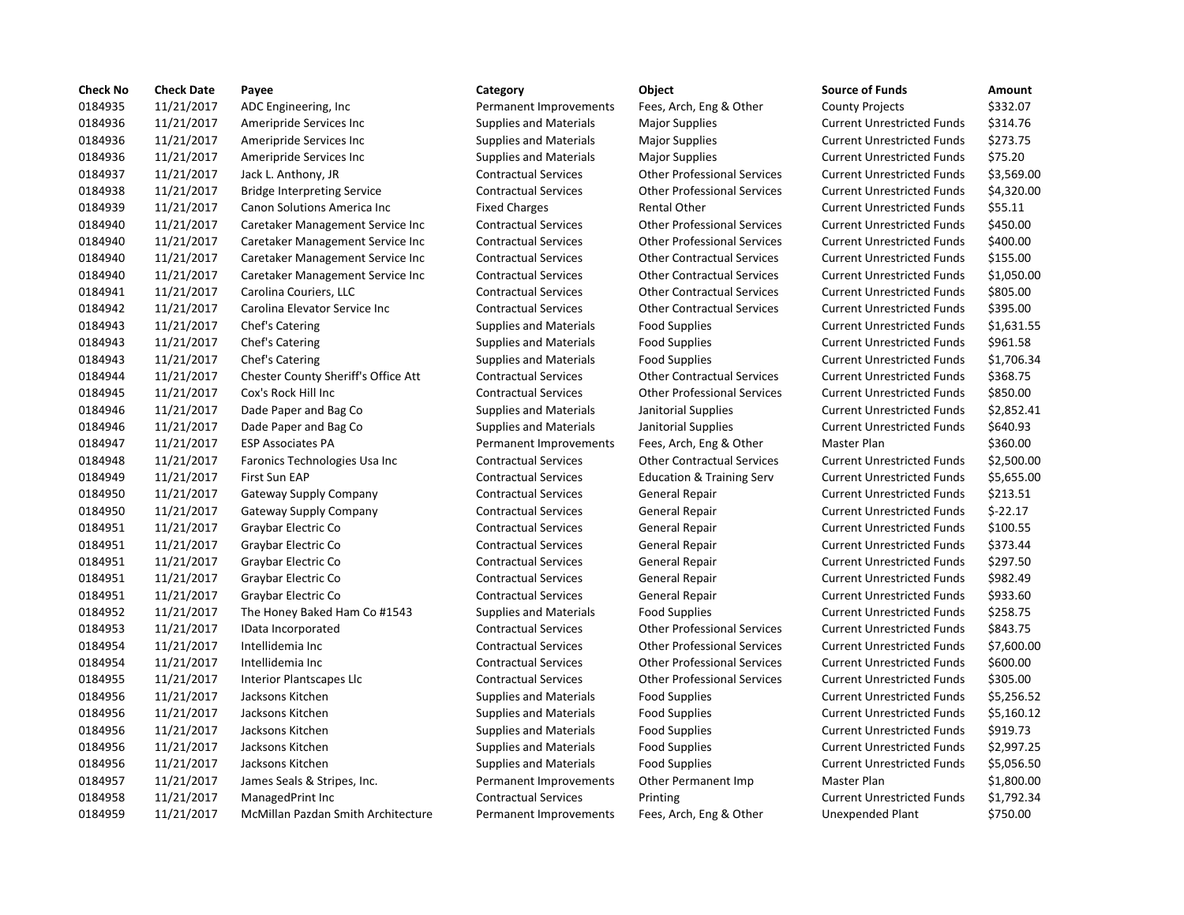| <b>Check No</b> | <b>Check Date</b> | Payee                               | Category                      | Object                               | <b>Source of Funds</b>            | Amount    |
|-----------------|-------------------|-------------------------------------|-------------------------------|--------------------------------------|-----------------------------------|-----------|
| 0184935         | 11/21/2017        | ADC Engineering, Inc.               | Permanent Improvements        | Fees, Arch, Eng & Other              | <b>County Projects</b>            | \$332.07  |
| 0184936         | 11/21/2017        | Ameripride Services Inc.            | <b>Supplies and Materials</b> | <b>Major Supplies</b>                | <b>Current Unrestricted Funds</b> | \$314.76  |
| 0184936         | 11/21/2017        | Ameripride Services Inc.            | <b>Supplies and Materials</b> | <b>Major Supplies</b>                | <b>Current Unrestricted Funds</b> | \$273.75  |
| 0184936         | 11/21/2017        | Ameripride Services Inc             | <b>Supplies and Materials</b> | <b>Major Supplies</b>                | <b>Current Unrestricted Funds</b> | \$75.20   |
| 0184937         | 11/21/2017        | Jack L. Anthony, JR                 | <b>Contractual Services</b>   | <b>Other Professional Services</b>   | <b>Current Unrestricted Funds</b> | \$3,569.0 |
| 0184938         | 11/21/2017        | <b>Bridge Interpreting Service</b>  | <b>Contractual Services</b>   | <b>Other Professional Services</b>   | <b>Current Unrestricted Funds</b> | \$4,320.0 |
| 0184939         | 11/21/2017        | Canon Solutions America Inc         | <b>Fixed Charges</b>          | <b>Rental Other</b>                  | <b>Current Unrestricted Funds</b> | \$55.11   |
| 0184940         | 11/21/2017        | Caretaker Management Service Inc    | <b>Contractual Services</b>   | <b>Other Professional Services</b>   | <b>Current Unrestricted Funds</b> | \$450.00  |
| 0184940         | 11/21/2017        | Caretaker Management Service Inc    | <b>Contractual Services</b>   | <b>Other Professional Services</b>   | <b>Current Unrestricted Funds</b> | \$400.00  |
| 0184940         | 11/21/2017        | Caretaker Management Service Inc    | <b>Contractual Services</b>   | <b>Other Contractual Services</b>    | <b>Current Unrestricted Funds</b> | \$155.00  |
| 0184940         | 11/21/2017        | Caretaker Management Service Inc    | <b>Contractual Services</b>   | <b>Other Contractual Services</b>    | <b>Current Unrestricted Funds</b> | \$1,050.0 |
| 0184941         | 11/21/2017        | Carolina Couriers, LLC              | <b>Contractual Services</b>   | <b>Other Contractual Services</b>    | <b>Current Unrestricted Funds</b> | \$805.00  |
| 0184942         | 11/21/2017        | Carolina Elevator Service Inc       | <b>Contractual Services</b>   | <b>Other Contractual Services</b>    | <b>Current Unrestricted Funds</b> | \$395.00  |
| 0184943         | 11/21/2017        | Chef's Catering                     | <b>Supplies and Materials</b> | <b>Food Supplies</b>                 | <b>Current Unrestricted Funds</b> | \$1,631.5 |
| 0184943         | 11/21/2017        | Chef's Catering                     | <b>Supplies and Materials</b> | <b>Food Supplies</b>                 | <b>Current Unrestricted Funds</b> | \$961.58  |
| 0184943         | 11/21/2017        | Chef's Catering                     | <b>Supplies and Materials</b> | <b>Food Supplies</b>                 | <b>Current Unrestricted Funds</b> | \$1,706.3 |
| 0184944         | 11/21/2017        | Chester County Sheriff's Office Att | <b>Contractual Services</b>   | <b>Other Contractual Services</b>    | <b>Current Unrestricted Funds</b> | \$368.75  |
| 0184945         | 11/21/2017        | Cox's Rock Hill Inc                 | <b>Contractual Services</b>   | <b>Other Professional Services</b>   | <b>Current Unrestricted Funds</b> | \$850.00  |
| 0184946         | 11/21/2017        | Dade Paper and Bag Co               | <b>Supplies and Materials</b> | Janitorial Supplies                  | <b>Current Unrestricted Funds</b> | \$2,852.4 |
| 0184946         | 11/21/2017        | Dade Paper and Bag Co               | <b>Supplies and Materials</b> | Janitorial Supplies                  | <b>Current Unrestricted Funds</b> | \$640.93  |
| 0184947         | 11/21/2017        | <b>ESP Associates PA</b>            | Permanent Improvements        | Fees, Arch, Eng & Other              | Master Plan                       | \$360.00  |
| 0184948         | 11/21/2017        | Faronics Technologies Usa Inc       | <b>Contractual Services</b>   | <b>Other Contractual Services</b>    | <b>Current Unrestricted Funds</b> | \$2,500.0 |
| 0184949         | 11/21/2017        | First Sun EAP                       | <b>Contractual Services</b>   | <b>Education &amp; Training Serv</b> | <b>Current Unrestricted Funds</b> | \$5,655.0 |
| 0184950         | 11/21/2017        | <b>Gateway Supply Company</b>       | <b>Contractual Services</b>   | General Repair                       | <b>Current Unrestricted Funds</b> | \$213.51  |
| 0184950         | 11/21/2017        | Gateway Supply Company              | <b>Contractual Services</b>   | General Repair                       | <b>Current Unrestricted Funds</b> | $$-22.17$ |
| 0184951         | 11/21/2017        | Graybar Electric Co                 | <b>Contractual Services</b>   | General Repair                       | <b>Current Unrestricted Funds</b> | \$100.55  |
| 0184951         | 11/21/2017        | Graybar Electric Co                 | <b>Contractual Services</b>   | General Repair                       | <b>Current Unrestricted Funds</b> | \$373.44  |
| 0184951         | 11/21/2017        | Graybar Electric Co                 | <b>Contractual Services</b>   | General Repair                       | <b>Current Unrestricted Funds</b> | \$297.50  |
| 0184951         | 11/21/2017        | Graybar Electric Co                 | <b>Contractual Services</b>   | General Repair                       | <b>Current Unrestricted Funds</b> | \$982.49  |
| 0184951         | 11/21/2017        | Graybar Electric Co                 | <b>Contractual Services</b>   | General Repair                       | <b>Current Unrestricted Funds</b> | \$933.60  |
| 0184952         | 11/21/2017        | The Honey Baked Ham Co #1543        | <b>Supplies and Materials</b> | <b>Food Supplies</b>                 | <b>Current Unrestricted Funds</b> | \$258.75  |
| 0184953         | 11/21/2017        | IData Incorporated                  | <b>Contractual Services</b>   | <b>Other Professional Services</b>   | <b>Current Unrestricted Funds</b> | \$843.75  |
| 0184954         | 11/21/2017        | Intellidemia Inc                    | <b>Contractual Services</b>   | <b>Other Professional Services</b>   | <b>Current Unrestricted Funds</b> | \$7,600.0 |
| 0184954         | 11/21/2017        | Intellidemia Inc                    | <b>Contractual Services</b>   | <b>Other Professional Services</b>   | <b>Current Unrestricted Funds</b> | \$600.00  |
| 0184955         | 11/21/2017        | Interior Plantscapes Llc            | <b>Contractual Services</b>   | <b>Other Professional Services</b>   | <b>Current Unrestricted Funds</b> | \$305.00  |
| 0184956         | 11/21/2017        | Jacksons Kitchen                    | <b>Supplies and Materials</b> | <b>Food Supplies</b>                 | <b>Current Unrestricted Funds</b> | \$5,256.5 |
| 0184956         | 11/21/2017        | Jacksons Kitchen                    | <b>Supplies and Materials</b> | <b>Food Supplies</b>                 | <b>Current Unrestricted Funds</b> | \$5,160.1 |
| 0184956         | 11/21/2017        | Jacksons Kitchen                    | <b>Supplies and Materials</b> | <b>Food Supplies</b>                 | <b>Current Unrestricted Funds</b> | \$919.73  |
| 0184956         | 11/21/2017        | Jacksons Kitchen                    | <b>Supplies and Materials</b> | <b>Food Supplies</b>                 | <b>Current Unrestricted Funds</b> | \$2,997.2 |
| 0184956         | 11/21/2017        | Jacksons Kitchen                    | <b>Supplies and Materials</b> | <b>Food Supplies</b>                 | <b>Current Unrestricted Funds</b> | \$5,056.5 |
| 0184957         | 11/21/2017        | James Seals & Stripes, Inc.         | Permanent Improvements        | Other Permanent Imp                  | Master Plan                       | \$1,800.0 |
| 0184958         | 11/21/2017        | ManagedPrint Inc                    | <b>Contractual Services</b>   | Printing                             | <b>Current Unrestricted Funds</b> | \$1,792.3 |
| 0184959         | 11/21/2017        | McMillan Pazdan Smith Architecture  | Permanent Improvements        | Fees. Arch. Eng & Other              | Unexpended Plant                  | \$750.00  |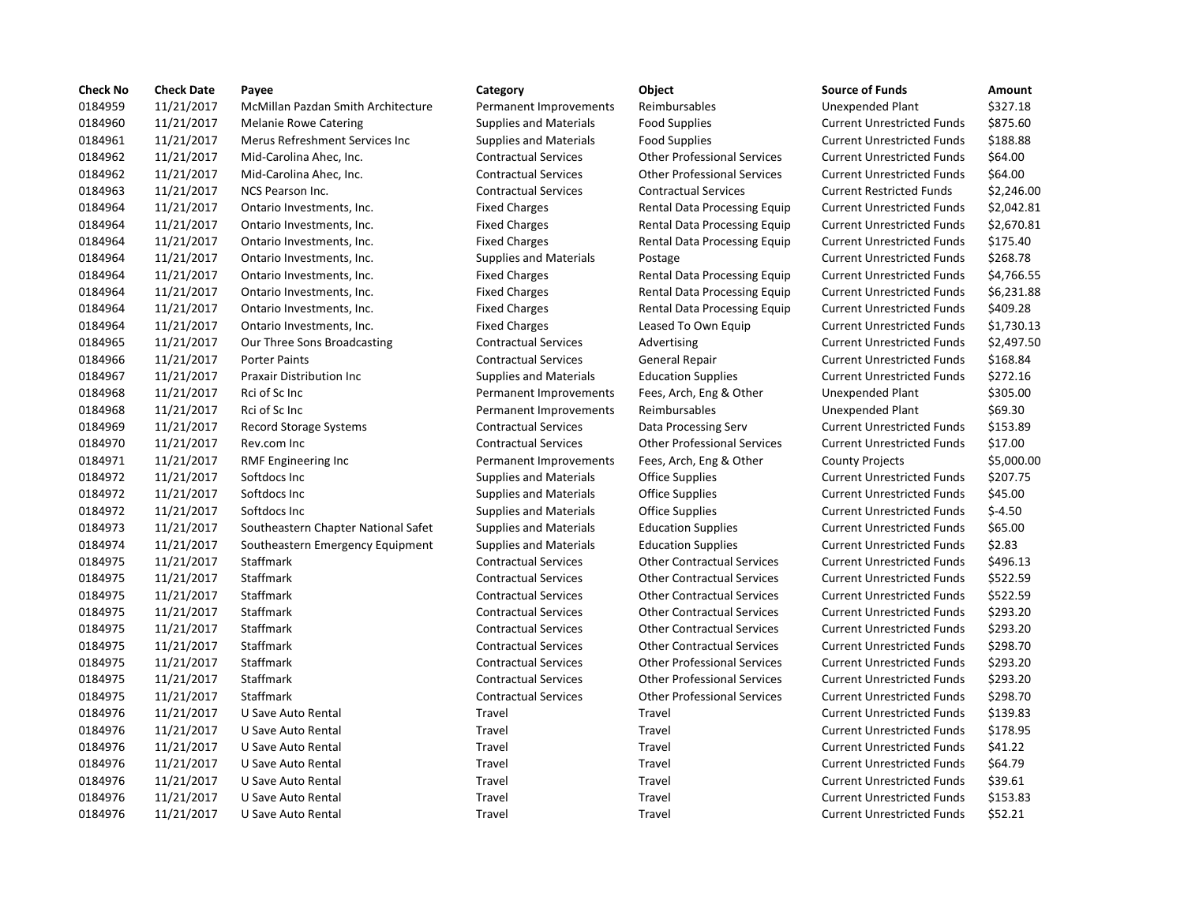| <b>Check No</b> | <b>Check Date</b> | Payee                               | Category                      | Object                             | <b>Source of Funds</b>            | Amount     |
|-----------------|-------------------|-------------------------------------|-------------------------------|------------------------------------|-----------------------------------|------------|
| 0184959         | 11/21/2017        | McMillan Pazdan Smith Architecture  | Permanent Improvements        | Reimbursables                      | Unexpended Plant                  | \$327.18   |
| 0184960         | 11/21/2017        | <b>Melanie Rowe Catering</b>        | <b>Supplies and Materials</b> | <b>Food Supplies</b>               | <b>Current Unrestricted Funds</b> | \$875.60   |
| 0184961         | 11/21/2017        | Merus Refreshment Services Inc      | <b>Supplies and Materials</b> | <b>Food Supplies</b>               | <b>Current Unrestricted Funds</b> | \$188.88   |
| 0184962         | 11/21/2017        | Mid-Carolina Ahec, Inc.             | <b>Contractual Services</b>   | <b>Other Professional Services</b> | <b>Current Unrestricted Funds</b> | \$64.00    |
| 0184962         | 11/21/2017        | Mid-Carolina Ahec, Inc.             | <b>Contractual Services</b>   | <b>Other Professional Services</b> | <b>Current Unrestricted Funds</b> | \$64.00    |
| 0184963         | 11/21/2017        | NCS Pearson Inc.                    | <b>Contractual Services</b>   | <b>Contractual Services</b>        | <b>Current Restricted Funds</b>   | \$2,246.00 |
| 0184964         | 11/21/2017        | Ontario Investments, Inc.           | <b>Fixed Charges</b>          | Rental Data Processing Equip       | <b>Current Unrestricted Funds</b> | \$2,042.81 |
| 0184964         | 11/21/2017        | Ontario Investments, Inc.           | <b>Fixed Charges</b>          | Rental Data Processing Equip       | <b>Current Unrestricted Funds</b> | \$2,670.81 |
| 0184964         | 11/21/2017        | Ontario Investments, Inc.           | <b>Fixed Charges</b>          | Rental Data Processing Equip       | <b>Current Unrestricted Funds</b> | \$175.40   |
| 0184964         | 11/21/2017        | Ontario Investments, Inc.           | <b>Supplies and Materials</b> | Postage                            | <b>Current Unrestricted Funds</b> | \$268.78   |
| 0184964         | 11/21/2017        | Ontario Investments, Inc.           | <b>Fixed Charges</b>          | Rental Data Processing Equip       | <b>Current Unrestricted Funds</b> | \$4,766.55 |
| 0184964         | 11/21/2017        | Ontario Investments, Inc.           | <b>Fixed Charges</b>          | Rental Data Processing Equip       | <b>Current Unrestricted Funds</b> | \$6,231.88 |
| 0184964         | 11/21/2017        | Ontario Investments, Inc.           | <b>Fixed Charges</b>          | Rental Data Processing Equip       | <b>Current Unrestricted Funds</b> | \$409.28   |
| 0184964         | 11/21/2017        | Ontario Investments, Inc.           | <b>Fixed Charges</b>          | Leased To Own Equip                | <b>Current Unrestricted Funds</b> | \$1,730.13 |
| 0184965         | 11/21/2017        | Our Three Sons Broadcasting         | <b>Contractual Services</b>   | Advertising                        | <b>Current Unrestricted Funds</b> | \$2,497.50 |
| 0184966         | 11/21/2017        | <b>Porter Paints</b>                | <b>Contractual Services</b>   | <b>General Repair</b>              | <b>Current Unrestricted Funds</b> | \$168.84   |
| 0184967         | 11/21/2017        | Praxair Distribution Inc            | <b>Supplies and Materials</b> | <b>Education Supplies</b>          | <b>Current Unrestricted Funds</b> | \$272.16   |
| 0184968         | 11/21/2017        | Rci of Sc Inc                       | Permanent Improvements        | Fees, Arch, Eng & Other            | Unexpended Plant                  | \$305.00   |
| 0184968         | 11/21/2017        | Rci of Sc Inc                       | Permanent Improvements        | Reimbursables                      | <b>Unexpended Plant</b>           | \$69.30    |
| 0184969         | 11/21/2017        | Record Storage Systems              | <b>Contractual Services</b>   | Data Processing Serv               | <b>Current Unrestricted Funds</b> | \$153.89   |
| 0184970         | 11/21/2017        | Rev.com Inc                         | <b>Contractual Services</b>   | <b>Other Professional Services</b> | <b>Current Unrestricted Funds</b> | \$17.00    |
| 0184971         | 11/21/2017        | RMF Engineering Inc                 | Permanent Improvements        | Fees, Arch, Eng & Other            | <b>County Projects</b>            | \$5,000.00 |
| 0184972         | 11/21/2017        | Softdocs Inc                        | <b>Supplies and Materials</b> | <b>Office Supplies</b>             | <b>Current Unrestricted Funds</b> | \$207.75   |
| 0184972         | 11/21/2017        | Softdocs Inc                        | <b>Supplies and Materials</b> | <b>Office Supplies</b>             | <b>Current Unrestricted Funds</b> | \$45.00    |
| 0184972         | 11/21/2017        | Softdocs Inc                        | <b>Supplies and Materials</b> | <b>Office Supplies</b>             | <b>Current Unrestricted Funds</b> | $$-4.50$   |
| 0184973         | 11/21/2017        | Southeastern Chapter National Safet | <b>Supplies and Materials</b> | <b>Education Supplies</b>          | <b>Current Unrestricted Funds</b> | \$65.00    |
| 0184974         | 11/21/2017        | Southeastern Emergency Equipment    | <b>Supplies and Materials</b> | <b>Education Supplies</b>          | <b>Current Unrestricted Funds</b> | \$2.83     |
| 0184975         | 11/21/2017        | <b>Staffmark</b>                    | <b>Contractual Services</b>   | <b>Other Contractual Services</b>  | <b>Current Unrestricted Funds</b> | \$496.13   |
| 0184975         | 11/21/2017        | Staffmark                           | <b>Contractual Services</b>   | <b>Other Contractual Services</b>  | <b>Current Unrestricted Funds</b> | \$522.59   |
| 0184975         | 11/21/2017        | Staffmark                           | <b>Contractual Services</b>   | <b>Other Contractual Services</b>  | <b>Current Unrestricted Funds</b> | \$522.59   |
| 0184975         | 11/21/2017        | Staffmark                           | <b>Contractual Services</b>   | <b>Other Contractual Services</b>  | <b>Current Unrestricted Funds</b> | \$293.20   |
| 0184975         | 11/21/2017        | Staffmark                           | <b>Contractual Services</b>   | <b>Other Contractual Services</b>  | <b>Current Unrestricted Funds</b> | \$293.20   |
| 0184975         | 11/21/2017        | Staffmark                           | <b>Contractual Services</b>   | <b>Other Contractual Services</b>  | <b>Current Unrestricted Funds</b> | \$298.70   |
| 0184975         | 11/21/2017        | Staffmark                           | <b>Contractual Services</b>   | <b>Other Professional Services</b> | <b>Current Unrestricted Funds</b> | \$293.20   |
| 0184975         | 11/21/2017        | <b>Staffmark</b>                    | <b>Contractual Services</b>   | <b>Other Professional Services</b> | <b>Current Unrestricted Funds</b> | \$293.20   |
| 0184975         | 11/21/2017        | Staffmark                           | <b>Contractual Services</b>   | <b>Other Professional Services</b> | <b>Current Unrestricted Funds</b> | \$298.70   |
| 0184976         | 11/21/2017        | U Save Auto Rental                  | Travel                        | Travel                             | <b>Current Unrestricted Funds</b> | \$139.83   |
| 0184976         | 11/21/2017        | U Save Auto Rental                  | Travel                        | Travel                             | <b>Current Unrestricted Funds</b> | \$178.95   |
| 0184976         | 11/21/2017        | U Save Auto Rental                  | Travel                        | Travel                             | <b>Current Unrestricted Funds</b> | \$41.22    |
| 0184976         | 11/21/2017        | U Save Auto Rental                  | Travel                        | Travel                             | <b>Current Unrestricted Funds</b> | \$64.79    |
| 0184976         | 11/21/2017        | U Save Auto Rental                  | Travel                        | Travel                             | <b>Current Unrestricted Funds</b> | \$39.61    |
| 0184976         | 11/21/2017        | U Save Auto Rental                  | Travel                        | Travel                             | <b>Current Unrestricted Funds</b> | \$153.83   |
| 0184976         | 11/21/2017        | U Save Auto Rental                  | Travel                        | Travel                             | <b>Current Unrestricted Funds</b> | \$52.21    |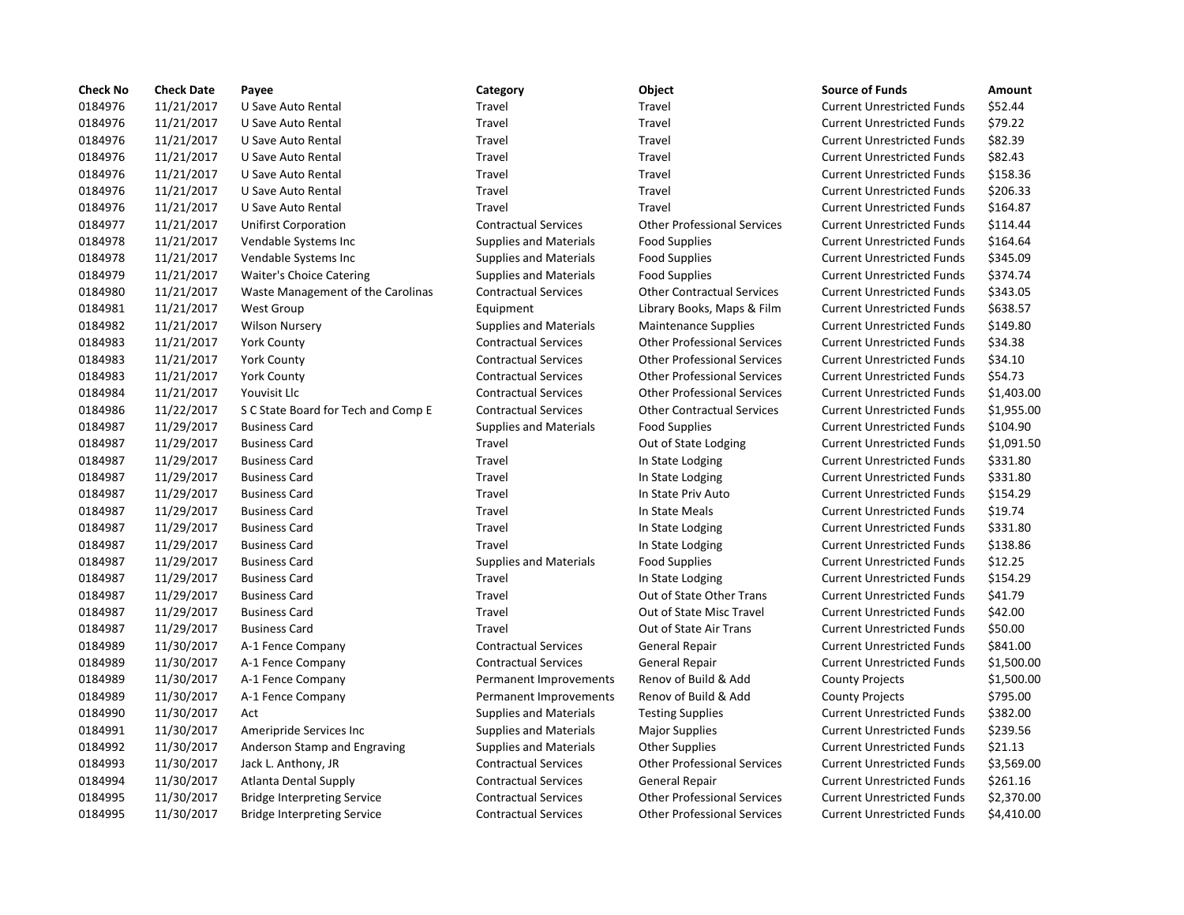| <b>Check No</b> | <b>Check Date</b> | Payee                               | Category                      | Object                             | <b>Source of Funds</b>            | Amount     |
|-----------------|-------------------|-------------------------------------|-------------------------------|------------------------------------|-----------------------------------|------------|
| 0184976         | 11/21/2017        | U Save Auto Rental                  | Travel                        | Travel                             | <b>Current Unrestricted Funds</b> | \$52.44    |
| 0184976         | 11/21/2017        | U Save Auto Rental                  | Travel                        | Travel                             | <b>Current Unrestricted Funds</b> | \$79.22    |
| 0184976         | 11/21/2017        | U Save Auto Rental                  | Travel                        | Travel                             | <b>Current Unrestricted Funds</b> | \$82.39    |
| 0184976         | 11/21/2017        | U Save Auto Rental                  | Travel                        | Travel                             | <b>Current Unrestricted Funds</b> | \$82.43    |
| 0184976         | 11/21/2017        | U Save Auto Rental                  | Travel                        | Travel                             | <b>Current Unrestricted Funds</b> | \$158.36   |
| 0184976         | 11/21/2017        | U Save Auto Rental                  | Travel                        | Travel                             | <b>Current Unrestricted Funds</b> | \$206.33   |
| 0184976         | 11/21/2017        | U Save Auto Rental                  | Travel                        | Travel                             | <b>Current Unrestricted Funds</b> | \$164.87   |
| 0184977         | 11/21/2017        | <b>Unifirst Corporation</b>         | <b>Contractual Services</b>   | <b>Other Professional Services</b> | <b>Current Unrestricted Funds</b> | \$114.44   |
| 0184978         | 11/21/2017        | Vendable Systems Inc                | <b>Supplies and Materials</b> | <b>Food Supplies</b>               | <b>Current Unrestricted Funds</b> | \$164.64   |
| 0184978         | 11/21/2017        | Vendable Systems Inc                | <b>Supplies and Materials</b> | <b>Food Supplies</b>               | <b>Current Unrestricted Funds</b> | \$345.09   |
| 0184979         | 11/21/2017        | Waiter's Choice Catering            | <b>Supplies and Materials</b> | <b>Food Supplies</b>               | <b>Current Unrestricted Funds</b> | \$374.74   |
| 0184980         | 11/21/2017        | Waste Management of the Carolinas   | <b>Contractual Services</b>   | <b>Other Contractual Services</b>  | <b>Current Unrestricted Funds</b> | \$343.05   |
| 0184981         | 11/21/2017        | <b>West Group</b>                   | Equipment                     | Library Books, Maps & Film         | <b>Current Unrestricted Funds</b> | \$638.57   |
| 0184982         | 11/21/2017        | <b>Wilson Nursery</b>               | <b>Supplies and Materials</b> | <b>Maintenance Supplies</b>        | <b>Current Unrestricted Funds</b> | \$149.80   |
| 0184983         | 11/21/2017        | <b>York County</b>                  | <b>Contractual Services</b>   | <b>Other Professional Services</b> | <b>Current Unrestricted Funds</b> | \$34.38    |
| 0184983         | 11/21/2017        | <b>York County</b>                  | <b>Contractual Services</b>   | <b>Other Professional Services</b> | <b>Current Unrestricted Funds</b> | \$34.10    |
| 0184983         | 11/21/2017        | York County                         | <b>Contractual Services</b>   | <b>Other Professional Services</b> | <b>Current Unrestricted Funds</b> | \$54.73    |
| 0184984         | 11/21/2017        | Youvisit Llc                        | <b>Contractual Services</b>   | <b>Other Professional Services</b> | <b>Current Unrestricted Funds</b> | \$1,403.00 |
| 0184986         | 11/22/2017        | S C State Board for Tech and Comp E | <b>Contractual Services</b>   | <b>Other Contractual Services</b>  | <b>Current Unrestricted Funds</b> | \$1,955.00 |
| 0184987         | 11/29/2017        | <b>Business Card</b>                | <b>Supplies and Materials</b> | <b>Food Supplies</b>               | <b>Current Unrestricted Funds</b> | \$104.90   |
| 0184987         | 11/29/2017        | <b>Business Card</b>                | Travel                        | Out of State Lodging               | <b>Current Unrestricted Funds</b> | \$1,091.50 |
| 0184987         | 11/29/2017        | <b>Business Card</b>                | Travel                        | In State Lodging                   | <b>Current Unrestricted Funds</b> | \$331.80   |
| 0184987         | 11/29/2017        | <b>Business Card</b>                | Travel                        | In State Lodging                   | <b>Current Unrestricted Funds</b> | \$331.80   |
| 0184987         | 11/29/2017        | <b>Business Card</b>                | Travel                        | In State Priv Auto                 | <b>Current Unrestricted Funds</b> | \$154.29   |
| 0184987         | 11/29/2017        | <b>Business Card</b>                | Travel                        | In State Meals                     | <b>Current Unrestricted Funds</b> | \$19.74    |
| 0184987         | 11/29/2017        | <b>Business Card</b>                | Travel                        | In State Lodging                   | <b>Current Unrestricted Funds</b> | \$331.80   |
| 0184987         | 11/29/2017        | <b>Business Card</b>                | Travel                        | In State Lodging                   | <b>Current Unrestricted Funds</b> | \$138.86   |
| 0184987         | 11/29/2017        | <b>Business Card</b>                | <b>Supplies and Materials</b> | Food Supplies                      | <b>Current Unrestricted Funds</b> | \$12.25    |
| 0184987         | 11/29/2017        | <b>Business Card</b>                | Travel                        | In State Lodging                   | <b>Current Unrestricted Funds</b> | \$154.29   |
| 0184987         | 11/29/2017        | <b>Business Card</b>                | Travel                        | Out of State Other Trans           | <b>Current Unrestricted Funds</b> | \$41.79    |
| 0184987         | 11/29/2017        | <b>Business Card</b>                | Travel                        | Out of State Misc Travel           | <b>Current Unrestricted Funds</b> | \$42.00    |
| 0184987         | 11/29/2017        | <b>Business Card</b>                | Travel                        | Out of State Air Trans             | <b>Current Unrestricted Funds</b> | \$50.00    |
| 0184989         | 11/30/2017        | A-1 Fence Company                   | <b>Contractual Services</b>   | General Repair                     | <b>Current Unrestricted Funds</b> | \$841.00   |
| 0184989         | 11/30/2017        | A-1 Fence Company                   | <b>Contractual Services</b>   | General Repair                     | <b>Current Unrestricted Funds</b> | \$1,500.00 |
| 0184989         | 11/30/2017        | A-1 Fence Company                   | Permanent Improvements        | Renov of Build & Add               | <b>County Projects</b>            | \$1,500.00 |
| 0184989         | 11/30/2017        | A-1 Fence Company                   | Permanent Improvements        | Renov of Build & Add               | <b>County Projects</b>            | \$795.00   |
| 0184990         | 11/30/2017        | Act                                 | <b>Supplies and Materials</b> | <b>Testing Supplies</b>            | <b>Current Unrestricted Funds</b> | \$382.00   |
| 0184991         | 11/30/2017        | Ameripride Services Inc             | <b>Supplies and Materials</b> | <b>Major Supplies</b>              | <b>Current Unrestricted Funds</b> | \$239.56   |
| 0184992         | 11/30/2017        | Anderson Stamp and Engraving        | <b>Supplies and Materials</b> | <b>Other Supplies</b>              | <b>Current Unrestricted Funds</b> | \$21.13    |
| 0184993         | 11/30/2017        | Jack L. Anthony, JR                 | <b>Contractual Services</b>   | <b>Other Professional Services</b> | <b>Current Unrestricted Funds</b> | \$3,569.00 |
| 0184994         | 11/30/2017        | <b>Atlanta Dental Supply</b>        | <b>Contractual Services</b>   | <b>General Repair</b>              | <b>Current Unrestricted Funds</b> | \$261.16   |
| 0184995         | 11/30/2017        | <b>Bridge Interpreting Service</b>  | <b>Contractual Services</b>   | <b>Other Professional Services</b> | <b>Current Unrestricted Funds</b> | \$2,370.00 |
| 0184995         | 11/30/2017        | <b>Bridge Interpreting Service</b>  | <b>Contractual Services</b>   | <b>Other Professional Services</b> | <b>Current Unrestricted Funds</b> | \$4,410.00 |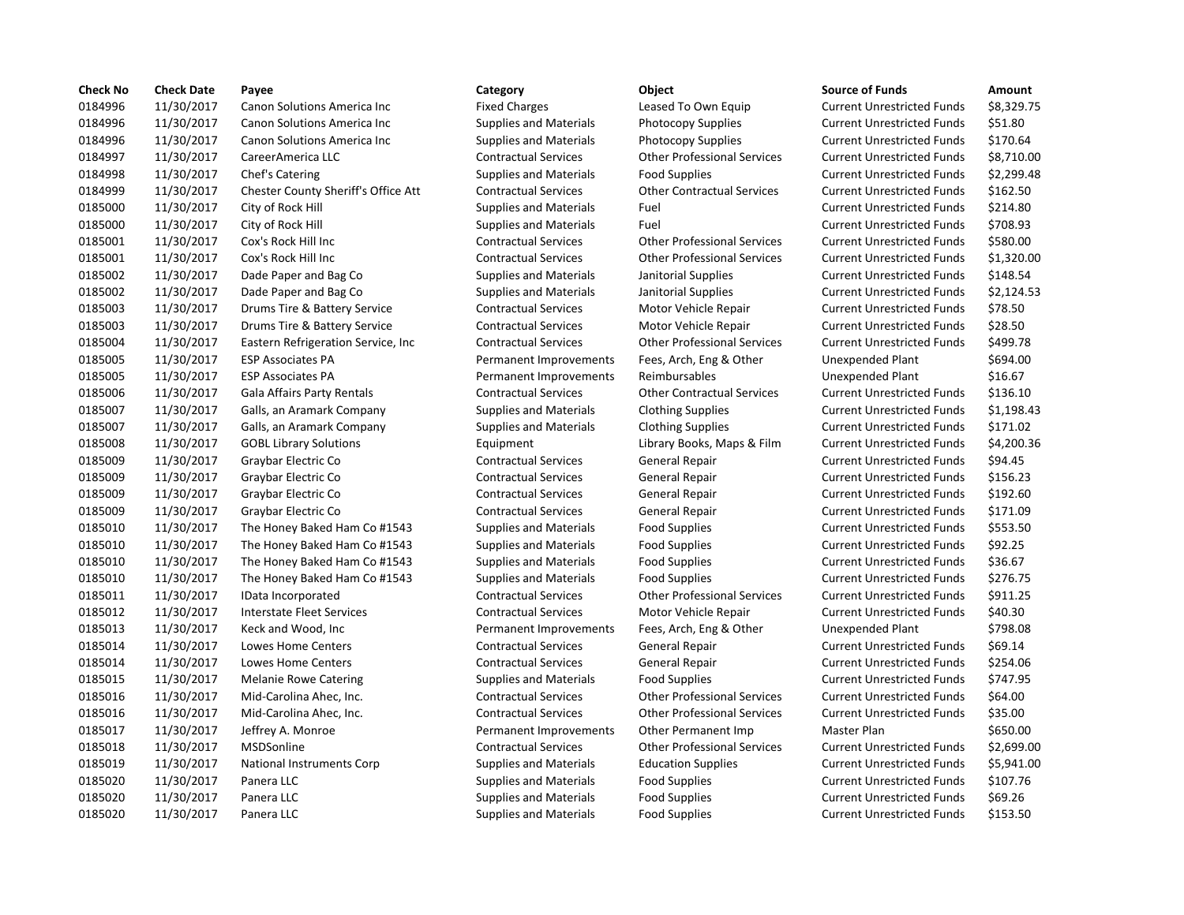| <b>Check No</b> | <b>Check Date</b> | Payee                               | Category                      | Object                             | <b>Source of Funds</b>            | Amount    |
|-----------------|-------------------|-------------------------------------|-------------------------------|------------------------------------|-----------------------------------|-----------|
| 0184996         | 11/30/2017        | Canon Solutions America Inc         | <b>Fixed Charges</b>          | Leased To Own Equip                | <b>Current Unrestricted Funds</b> | \$8,329.7 |
| 0184996         | 11/30/2017        | <b>Canon Solutions America Inc.</b> | <b>Supplies and Materials</b> | <b>Photocopy Supplies</b>          | <b>Current Unrestricted Funds</b> | \$51.80   |
| 0184996         | 11/30/2017        | Canon Solutions America Inc         | <b>Supplies and Materials</b> | <b>Photocopy Supplies</b>          | <b>Current Unrestricted Funds</b> | \$170.64  |
| 0184997         | 11/30/2017        | CareerAmerica LLC                   | <b>Contractual Services</b>   | <b>Other Professional Services</b> | <b>Current Unrestricted Funds</b> | \$8,710.0 |
| 0184998         | 11/30/2017        | Chef's Catering                     | <b>Supplies and Materials</b> | <b>Food Supplies</b>               | <b>Current Unrestricted Funds</b> | \$2,299.4 |
| 0184999         | 11/30/2017        | Chester County Sheriff's Office Att | <b>Contractual Services</b>   | <b>Other Contractual Services</b>  | <b>Current Unrestricted Funds</b> | \$162.50  |
| 0185000         | 11/30/2017        | City of Rock Hill                   | <b>Supplies and Materials</b> | Fuel                               | <b>Current Unrestricted Funds</b> | \$214.80  |
| 0185000         | 11/30/2017        | City of Rock Hill                   | <b>Supplies and Materials</b> | Fuel                               | <b>Current Unrestricted Funds</b> | \$708.93  |
| 0185001         | 11/30/2017        | Cox's Rock Hill Inc                 | <b>Contractual Services</b>   | <b>Other Professional Services</b> | <b>Current Unrestricted Funds</b> | \$580.00  |
| 0185001         | 11/30/2017        | Cox's Rock Hill Inc                 | <b>Contractual Services</b>   | <b>Other Professional Services</b> | <b>Current Unrestricted Funds</b> | \$1,320.0 |
| 0185002         | 11/30/2017        | Dade Paper and Bag Co               | <b>Supplies and Materials</b> | Janitorial Supplies                | <b>Current Unrestricted Funds</b> | \$148.54  |
| 0185002         | 11/30/2017        | Dade Paper and Bag Co               | <b>Supplies and Materials</b> | Janitorial Supplies                | <b>Current Unrestricted Funds</b> | \$2,124.9 |
| 0185003         | 11/30/2017        | Drums Tire & Battery Service        | <b>Contractual Services</b>   | Motor Vehicle Repair               | <b>Current Unrestricted Funds</b> | \$78.50   |
| 0185003         | 11/30/2017        | Drums Tire & Battery Service        | <b>Contractual Services</b>   | Motor Vehicle Repair               | <b>Current Unrestricted Funds</b> | \$28.50   |
| 0185004         | 11/30/2017        | Eastern Refrigeration Service, Inc. | <b>Contractual Services</b>   | <b>Other Professional Services</b> | <b>Current Unrestricted Funds</b> | \$499.78  |
| 0185005         | 11/30/2017        | <b>ESP Associates PA</b>            | Permanent Improvements        | Fees, Arch, Eng & Other            | Unexpended Plant                  | \$694.00  |
| 0185005         | 11/30/2017        | <b>ESP Associates PA</b>            | Permanent Improvements        | Reimbursables                      | Unexpended Plant                  | \$16.67   |
| 0185006         | 11/30/2017        | <b>Gala Affairs Party Rentals</b>   | <b>Contractual Services</b>   | <b>Other Contractual Services</b>  | <b>Current Unrestricted Funds</b> | \$136.10  |
| 0185007         | 11/30/2017        | Galls, an Aramark Company           | <b>Supplies and Materials</b> | <b>Clothing Supplies</b>           | <b>Current Unrestricted Funds</b> | \$1,198.4 |
| 0185007         | 11/30/2017        | Galls, an Aramark Company           | <b>Supplies and Materials</b> | <b>Clothing Supplies</b>           | <b>Current Unrestricted Funds</b> | \$171.02  |
| 0185008         | 11/30/2017        | <b>GOBL Library Solutions</b>       | Equipment                     | Library Books, Maps & Film         | <b>Current Unrestricted Funds</b> | \$4,200.3 |
| 0185009         | 11/30/2017        | Graybar Electric Co                 | <b>Contractual Services</b>   | General Repair                     | <b>Current Unrestricted Funds</b> | \$94.45   |
| 0185009         | 11/30/2017        | Graybar Electric Co                 | <b>Contractual Services</b>   | <b>General Repair</b>              | <b>Current Unrestricted Funds</b> | \$156.23  |
| 0185009         | 11/30/2017        | Graybar Electric Co                 | <b>Contractual Services</b>   | General Repair                     | <b>Current Unrestricted Funds</b> | \$192.60  |
| 0185009         | 11/30/2017        | Graybar Electric Co                 | <b>Contractual Services</b>   | General Repair                     | <b>Current Unrestricted Funds</b> | \$171.09  |
| 0185010         | 11/30/2017        | The Honey Baked Ham Co #1543        | <b>Supplies and Materials</b> | <b>Food Supplies</b>               | <b>Current Unrestricted Funds</b> | \$553.50  |
| 0185010         | 11/30/2017        | The Honey Baked Ham Co #1543        | <b>Supplies and Materials</b> | <b>Food Supplies</b>               | <b>Current Unrestricted Funds</b> | \$92.25   |
| 0185010         | 11/30/2017        | The Honey Baked Ham Co #1543        | <b>Supplies and Materials</b> | <b>Food Supplies</b>               | <b>Current Unrestricted Funds</b> | \$36.67   |
| 0185010         | 11/30/2017        | The Honey Baked Ham Co #1543        | <b>Supplies and Materials</b> | <b>Food Supplies</b>               | <b>Current Unrestricted Funds</b> | \$276.75  |
| 0185011         | 11/30/2017        | IData Incorporated                  | <b>Contractual Services</b>   | <b>Other Professional Services</b> | <b>Current Unrestricted Funds</b> | \$911.25  |
| 0185012         | 11/30/2017        | Interstate Fleet Services           | <b>Contractual Services</b>   | Motor Vehicle Repair               | <b>Current Unrestricted Funds</b> | \$40.30   |
| 0185013         | 11/30/2017        | Keck and Wood, Inc                  | Permanent Improvements        | Fees, Arch, Eng & Other            | <b>Unexpended Plant</b>           | \$798.08  |
| 0185014         | 11/30/2017        | Lowes Home Centers                  | <b>Contractual Services</b>   | <b>General Repair</b>              | <b>Current Unrestricted Funds</b> | \$69.14   |
| 0185014         | 11/30/2017        | Lowes Home Centers                  | <b>Contractual Services</b>   | <b>General Repair</b>              | <b>Current Unrestricted Funds</b> | \$254.06  |
| 0185015         | 11/30/2017        | <b>Melanie Rowe Catering</b>        | <b>Supplies and Materials</b> | <b>Food Supplies</b>               | <b>Current Unrestricted Funds</b> | \$747.95  |
| 0185016         | 11/30/2017        | Mid-Carolina Ahec, Inc.             | <b>Contractual Services</b>   | <b>Other Professional Services</b> | <b>Current Unrestricted Funds</b> | \$64.00   |
| 0185016         | 11/30/2017        | Mid-Carolina Ahec, Inc.             | <b>Contractual Services</b>   | <b>Other Professional Services</b> | <b>Current Unrestricted Funds</b> | \$35.00   |
| 0185017         | 11/30/2017        | Jeffrey A. Monroe                   | Permanent Improvements        | Other Permanent Imp                | Master Plan                       | \$650.00  |
| 0185018         | 11/30/2017        | MSDSonline                          | <b>Contractual Services</b>   | <b>Other Professional Services</b> | <b>Current Unrestricted Funds</b> | \$2,699.0 |
| 0185019         | 11/30/2017        | <b>National Instruments Corp</b>    | <b>Supplies and Materials</b> | <b>Education Supplies</b>          | <b>Current Unrestricted Funds</b> | \$5,941.0 |
| 0185020         | 11/30/2017        | Panera LLC                          | <b>Supplies and Materials</b> | <b>Food Supplies</b>               | <b>Current Unrestricted Funds</b> | \$107.76  |
| 0185020         | 11/30/2017        | Panera LLC                          | <b>Supplies and Materials</b> | <b>Food Supplies</b>               | <b>Current Unrestricted Funds</b> | \$69.26   |
| 0185020         | 11/30/2017        | Panera LLC                          | <b>Supplies and Materials</b> | <b>Food Supplies</b>               | <b>Current Unrestricted Funds</b> | \$153.50  |
|                 |                   |                                     |                               |                                    |                                   |           |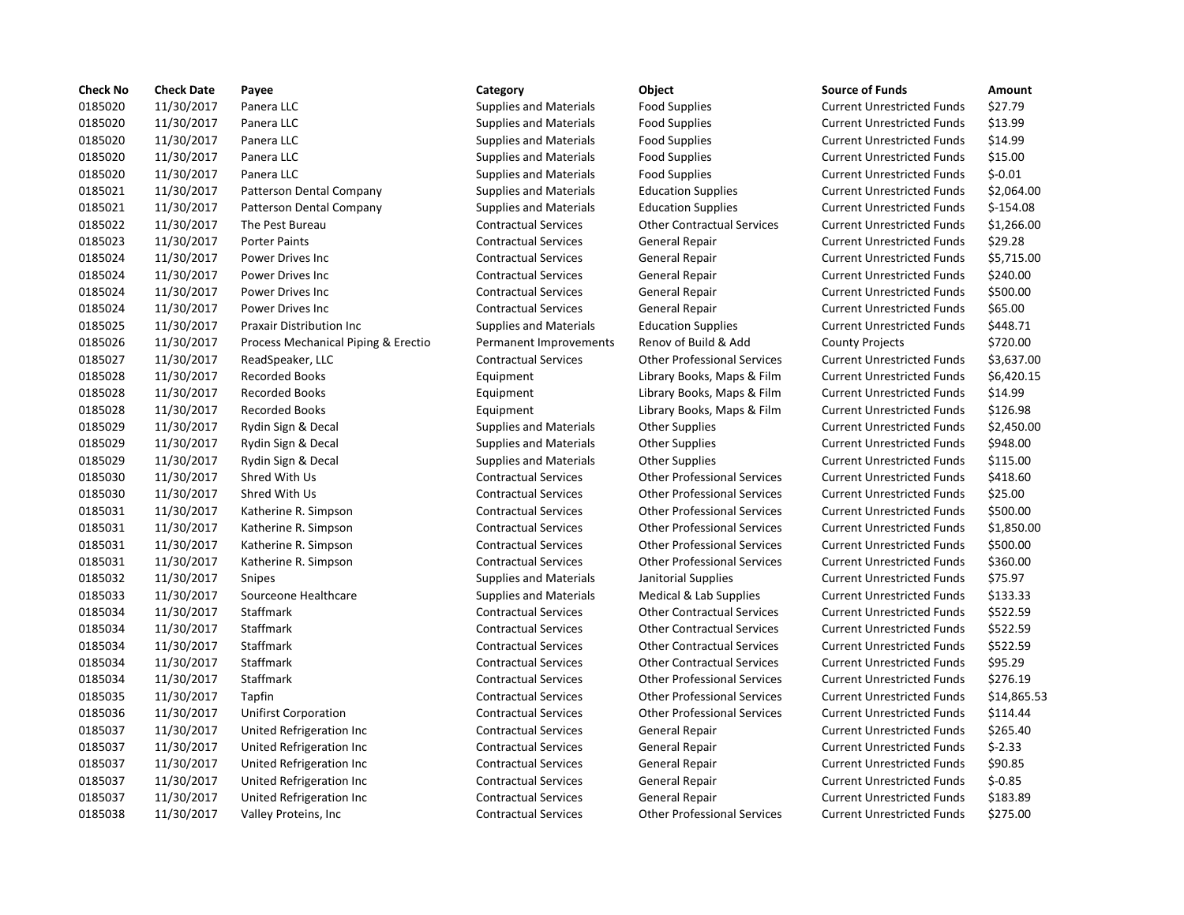| <b>Check No</b> | <b>Check Date</b> | Payee                               | Category                      | Object                             | <b>Source of Funds</b>            | Amount     |
|-----------------|-------------------|-------------------------------------|-------------------------------|------------------------------------|-----------------------------------|------------|
| 0185020         | 11/30/2017        | Panera LLC                          | <b>Supplies and Materials</b> | <b>Food Supplies</b>               | <b>Current Unrestricted Funds</b> | \$27.79    |
| 0185020         | 11/30/2017        | Panera LLC                          | <b>Supplies and Materials</b> | <b>Food Supplies</b>               | <b>Current Unrestricted Funds</b> | \$13.99    |
| 0185020         | 11/30/2017        | Panera LLC                          | <b>Supplies and Materials</b> | <b>Food Supplies</b>               | <b>Current Unrestricted Funds</b> | \$14.99    |
| 0185020         | 11/30/2017        | Panera LLC                          | <b>Supplies and Materials</b> | <b>Food Supplies</b>               | <b>Current Unrestricted Funds</b> | \$15.00    |
| 0185020         | 11/30/2017        | Panera LLC                          | <b>Supplies and Materials</b> | <b>Food Supplies</b>               | <b>Current Unrestricted Funds</b> | $$-0.01$   |
| 0185021         | 11/30/2017        | Patterson Dental Company            | <b>Supplies and Materials</b> | <b>Education Supplies</b>          | <b>Current Unrestricted Funds</b> | \$2,064.0  |
| 0185021         | 11/30/2017        | Patterson Dental Company            | <b>Supplies and Materials</b> | <b>Education Supplies</b>          | <b>Current Unrestricted Funds</b> | $$-154.08$ |
| 0185022         | 11/30/2017        | The Pest Bureau                     | <b>Contractual Services</b>   | <b>Other Contractual Services</b>  | <b>Current Unrestricted Funds</b> | \$1,266.0  |
| 0185023         | 11/30/2017        | <b>Porter Paints</b>                | <b>Contractual Services</b>   | General Repair                     | <b>Current Unrestricted Funds</b> | \$29.28    |
| 0185024         | 11/30/2017        | Power Drives Inc                    | <b>Contractual Services</b>   | General Repair                     | <b>Current Unrestricted Funds</b> | \$5,715.0  |
| 0185024         | 11/30/2017        | Power Drives Inc                    | <b>Contractual Services</b>   | General Repair                     | <b>Current Unrestricted Funds</b> | \$240.00   |
| 0185024         | 11/30/2017        | Power Drives Inc                    | <b>Contractual Services</b>   | General Repair                     | <b>Current Unrestricted Funds</b> | \$500.00   |
| 0185024         | 11/30/2017        | Power Drives Inc                    | <b>Contractual Services</b>   | <b>General Repair</b>              | <b>Current Unrestricted Funds</b> | \$65.00    |
| 0185025         | 11/30/2017        | <b>Praxair Distribution Inc</b>     | <b>Supplies and Materials</b> | <b>Education Supplies</b>          | <b>Current Unrestricted Funds</b> | \$448.71   |
| 0185026         | 11/30/2017        | Process Mechanical Piping & Erectio | Permanent Improvements        | Renov of Build & Add               | <b>County Projects</b>            | \$720.00   |
| 0185027         | 11/30/2017        | ReadSpeaker, LLC                    | <b>Contractual Services</b>   | <b>Other Professional Services</b> | <b>Current Unrestricted Funds</b> | \$3,637.0  |
| 0185028         | 11/30/2017        | <b>Recorded Books</b>               | Equipment                     | Library Books, Maps & Film         | <b>Current Unrestricted Funds</b> | \$6,420.1  |
| 0185028         | 11/30/2017        | <b>Recorded Books</b>               | Equipment                     | Library Books, Maps & Film         | <b>Current Unrestricted Funds</b> | \$14.99    |
| 0185028         | 11/30/2017        | <b>Recorded Books</b>               | Equipment                     | Library Books, Maps & Film         | <b>Current Unrestricted Funds</b> | \$126.98   |
| 0185029         | 11/30/2017        | Rydin Sign & Decal                  | <b>Supplies and Materials</b> | <b>Other Supplies</b>              | <b>Current Unrestricted Funds</b> | \$2,450.0  |
| 0185029         | 11/30/2017        | Rydin Sign & Decal                  | <b>Supplies and Materials</b> | <b>Other Supplies</b>              | <b>Current Unrestricted Funds</b> | \$948.00   |
| 0185029         | 11/30/2017        | Rydin Sign & Decal                  | <b>Supplies and Materials</b> | <b>Other Supplies</b>              | <b>Current Unrestricted Funds</b> | \$115.00   |
| 0185030         | 11/30/2017        | Shred With Us                       | <b>Contractual Services</b>   | <b>Other Professional Services</b> | <b>Current Unrestricted Funds</b> | \$418.60   |
| 0185030         | 11/30/2017        | Shred With Us                       | <b>Contractual Services</b>   | <b>Other Professional Services</b> | <b>Current Unrestricted Funds</b> | \$25.00    |
| 0185031         | 11/30/2017        | Katherine R. Simpson                | <b>Contractual Services</b>   | <b>Other Professional Services</b> | <b>Current Unrestricted Funds</b> | \$500.00   |
| 0185031         | 11/30/2017        | Katherine R. Simpson                | <b>Contractual Services</b>   | <b>Other Professional Services</b> | <b>Current Unrestricted Funds</b> | \$1,850.0  |
| 0185031         | 11/30/2017        | Katherine R. Simpson                | <b>Contractual Services</b>   | <b>Other Professional Services</b> | <b>Current Unrestricted Funds</b> | \$500.00   |
| 0185031         | 11/30/2017        | Katherine R. Simpson                | <b>Contractual Services</b>   | <b>Other Professional Services</b> | <b>Current Unrestricted Funds</b> | \$360.00   |
| 0185032         | 11/30/2017        | Snipes                              | <b>Supplies and Materials</b> | Janitorial Supplies                | <b>Current Unrestricted Funds</b> | \$75.97    |
| 0185033         | 11/30/2017        | Sourceone Healthcare                | <b>Supplies and Materials</b> | Medical & Lab Supplies             | <b>Current Unrestricted Funds</b> | \$133.33   |
| 0185034         | 11/30/2017        | Staffmark                           | <b>Contractual Services</b>   | <b>Other Contractual Services</b>  | <b>Current Unrestricted Funds</b> | \$522.59   |
| 0185034         | 11/30/2017        | Staffmark                           | <b>Contractual Services</b>   | <b>Other Contractual Services</b>  | <b>Current Unrestricted Funds</b> | \$522.59   |
| 0185034         | 11/30/2017        | <b>Staffmark</b>                    | <b>Contractual Services</b>   | <b>Other Contractual Services</b>  | <b>Current Unrestricted Funds</b> | \$522.59   |
| 0185034         | 11/30/2017        | Staffmark                           | <b>Contractual Services</b>   | <b>Other Contractual Services</b>  | <b>Current Unrestricted Funds</b> | \$95.29    |
| 0185034         | 11/30/2017        | Staffmark                           | <b>Contractual Services</b>   | <b>Other Professional Services</b> | <b>Current Unrestricted Funds</b> | \$276.19   |
| 0185035         | 11/30/2017        | Tapfin                              | <b>Contractual Services</b>   | <b>Other Professional Services</b> | <b>Current Unrestricted Funds</b> | \$14,865   |
| 0185036         | 11/30/2017        | <b>Unifirst Corporation</b>         | <b>Contractual Services</b>   | <b>Other Professional Services</b> | <b>Current Unrestricted Funds</b> | \$114.44   |
| 0185037         | 11/30/2017        | United Refrigeration Inc            | <b>Contractual Services</b>   | <b>General Repair</b>              | <b>Current Unrestricted Funds</b> | \$265.40   |
| 0185037         | 11/30/2017        | United Refrigeration Inc            | <b>Contractual Services</b>   | General Repair                     | <b>Current Unrestricted Funds</b> | $5 - 2.33$ |
| 0185037         | 11/30/2017        | United Refrigeration Inc            | <b>Contractual Services</b>   | General Repair                     | <b>Current Unrestricted Funds</b> | \$90.85    |
| 0185037         | 11/30/2017        | United Refrigeration Inc            | <b>Contractual Services</b>   | <b>General Repair</b>              | <b>Current Unrestricted Funds</b> | $$ -0.85$  |
| 0185037         | 11/30/2017        | United Refrigeration Inc            | <b>Contractual Services</b>   | General Repair                     | <b>Current Unrestricted Funds</b> | \$183.89   |
| 0185038         | 11/30/2017        | Valley Proteins, Inc.               | <b>Contractual Services</b>   | <b>Other Professional Services</b> | <b>Current Unrestricted Funds</b> | \$275.00   |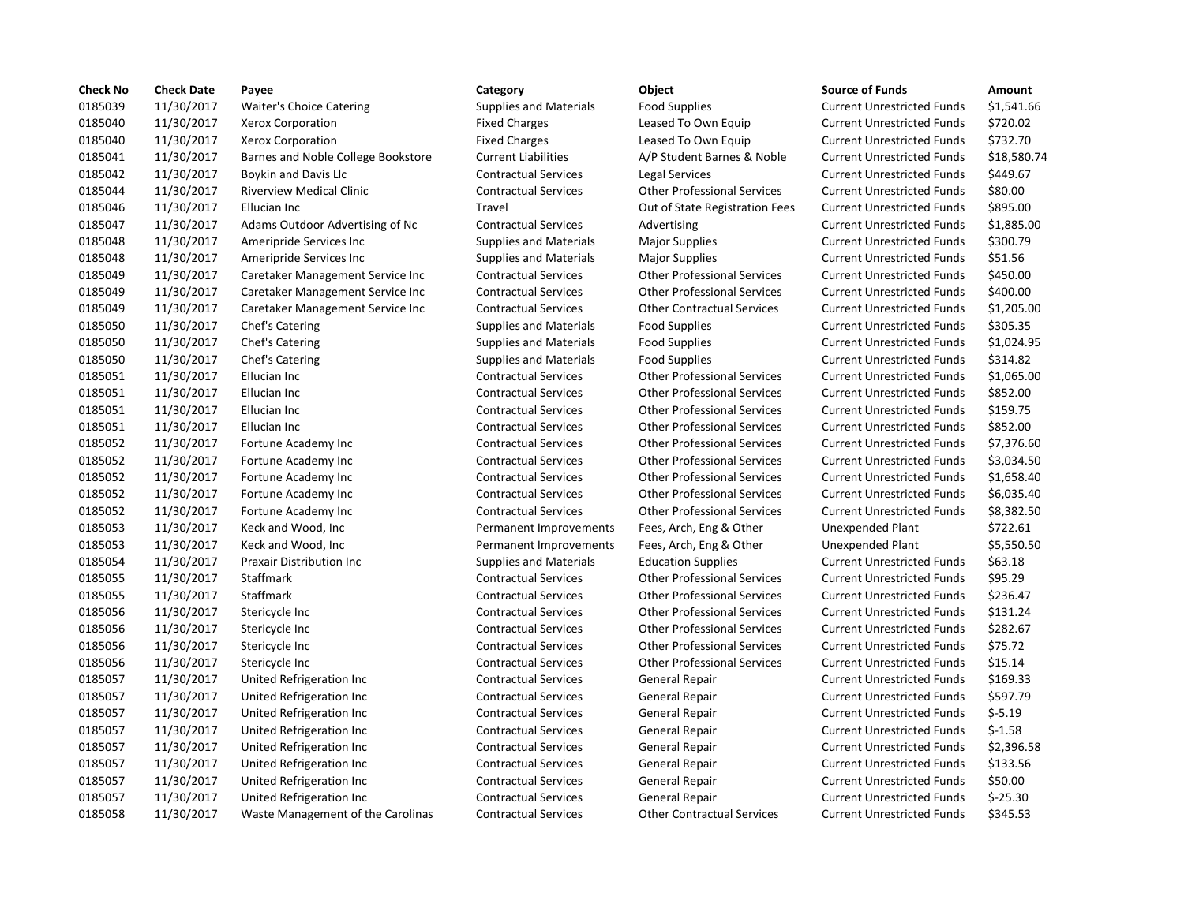| <b>Check No</b> | <b>Check Date</b> | Payee                              | Category                      | Object                             | <b>Source of Funds</b>            | Amount    |
|-----------------|-------------------|------------------------------------|-------------------------------|------------------------------------|-----------------------------------|-----------|
| 0185039         | 11/30/2017        | Waiter's Choice Catering           | <b>Supplies and Materials</b> | <b>Food Supplies</b>               | <b>Current Unrestricted Funds</b> | \$1,541.6 |
| 0185040         | 11/30/2017        | Xerox Corporation                  | <b>Fixed Charges</b>          | Leased To Own Equip                | <b>Current Unrestricted Funds</b> | \$720.02  |
| 0185040         | 11/30/2017        | Xerox Corporation                  | <b>Fixed Charges</b>          | Leased To Own Equip                | <b>Current Unrestricted Funds</b> | \$732.70  |
| 0185041         | 11/30/2017        | Barnes and Noble College Bookstore | <b>Current Liabilities</b>    | A/P Student Barnes & Noble         | <b>Current Unrestricted Funds</b> | \$18,580  |
| 0185042         | 11/30/2017        | Boykin and Davis Llc               | <b>Contractual Services</b>   | Legal Services                     | <b>Current Unrestricted Funds</b> | \$449.67  |
| 0185044         | 11/30/2017        | <b>Riverview Medical Clinic</b>    | <b>Contractual Services</b>   | <b>Other Professional Services</b> | <b>Current Unrestricted Funds</b> | \$80.00   |
| 0185046         | 11/30/2017        | Ellucian Inc                       | Travel                        | Out of State Registration Fees     | <b>Current Unrestricted Funds</b> | \$895.00  |
| 0185047         | 11/30/2017        | Adams Outdoor Advertising of Nc    | <b>Contractual Services</b>   | Advertising                        | <b>Current Unrestricted Funds</b> | \$1,885.0 |
| 0185048         | 11/30/2017        | Ameripride Services Inc            | <b>Supplies and Materials</b> | <b>Major Supplies</b>              | <b>Current Unrestricted Funds</b> | \$300.79  |
| 0185048         | 11/30/2017        | Ameripride Services Inc            | <b>Supplies and Materials</b> | Major Supplies                     | <b>Current Unrestricted Funds</b> | \$51.56   |
| 0185049         | 11/30/2017        | Caretaker Management Service Inc   | <b>Contractual Services</b>   | <b>Other Professional Services</b> | <b>Current Unrestricted Funds</b> | \$450.00  |
| 0185049         | 11/30/2017        | Caretaker Management Service Inc   | <b>Contractual Services</b>   | <b>Other Professional Services</b> | <b>Current Unrestricted Funds</b> | \$400.00  |
| 0185049         | 11/30/2017        | Caretaker Management Service Inc   | <b>Contractual Services</b>   | <b>Other Contractual Services</b>  | <b>Current Unrestricted Funds</b> | \$1,205.0 |
| 0185050         | 11/30/2017        | Chef's Catering                    | <b>Supplies and Materials</b> | <b>Food Supplies</b>               | <b>Current Unrestricted Funds</b> | \$305.35  |
| 0185050         | 11/30/2017        | Chef's Catering                    | <b>Supplies and Materials</b> | <b>Food Supplies</b>               | <b>Current Unrestricted Funds</b> | \$1,024.9 |
| 0185050         | 11/30/2017        | Chef's Catering                    | <b>Supplies and Materials</b> | <b>Food Supplies</b>               | <b>Current Unrestricted Funds</b> | \$314.82  |
| 0185051         | 11/30/2017        | Ellucian Inc                       | <b>Contractual Services</b>   | <b>Other Professional Services</b> | <b>Current Unrestricted Funds</b> | \$1,065.0 |
| 0185051         | 11/30/2017        | Ellucian Inc                       | <b>Contractual Services</b>   | <b>Other Professional Services</b> | <b>Current Unrestricted Funds</b> | \$852.00  |
| 0185051         | 11/30/2017        | Ellucian Inc                       | <b>Contractual Services</b>   | <b>Other Professional Services</b> | <b>Current Unrestricted Funds</b> | \$159.75  |
| 0185051         | 11/30/2017        | Ellucian Inc                       | <b>Contractual Services</b>   | <b>Other Professional Services</b> | <b>Current Unrestricted Funds</b> | \$852.00  |
| 0185052         | 11/30/2017        | Fortune Academy Inc                | <b>Contractual Services</b>   | <b>Other Professional Services</b> | <b>Current Unrestricted Funds</b> | \$7,376.6 |
| 0185052         | 11/30/2017        | Fortune Academy Inc                | <b>Contractual Services</b>   | <b>Other Professional Services</b> | <b>Current Unrestricted Funds</b> | \$3,034.5 |
| 0185052         | 11/30/2017        | Fortune Academy Inc                | <b>Contractual Services</b>   | <b>Other Professional Services</b> | <b>Current Unrestricted Funds</b> | \$1,658.4 |
| 0185052         | 11/30/2017        | Fortune Academy Inc                | <b>Contractual Services</b>   | <b>Other Professional Services</b> | <b>Current Unrestricted Funds</b> | \$6,035.4 |
| 0185052         | 11/30/2017        | Fortune Academy Inc                | <b>Contractual Services</b>   | <b>Other Professional Services</b> | <b>Current Unrestricted Funds</b> | \$8,382.5 |
| 0185053         | 11/30/2017        | Keck and Wood, Inc                 | Permanent Improvements        | Fees, Arch, Eng & Other            | Unexpended Plant                  | \$722.61  |
| 0185053         | 11/30/2017        | Keck and Wood, Inc                 | Permanent Improvements        | Fees, Arch, Eng & Other            | Unexpended Plant                  | \$5,550.5 |
| 0185054         | 11/30/2017        | <b>Praxair Distribution Inc.</b>   | <b>Supplies and Materials</b> | <b>Education Supplies</b>          | <b>Current Unrestricted Funds</b> | \$63.18   |
| 0185055         | 11/30/2017        | Staffmark                          | <b>Contractual Services</b>   | <b>Other Professional Services</b> | <b>Current Unrestricted Funds</b> | \$95.29   |
| 0185055         | 11/30/2017        | Staffmark                          | <b>Contractual Services</b>   | <b>Other Professional Services</b> | <b>Current Unrestricted Funds</b> | \$236.47  |
| 0185056         | 11/30/2017        | Stericycle Inc                     | <b>Contractual Services</b>   | <b>Other Professional Services</b> | <b>Current Unrestricted Funds</b> | \$131.24  |
| 0185056         | 11/30/2017        | Stericycle Inc                     | <b>Contractual Services</b>   | <b>Other Professional Services</b> | <b>Current Unrestricted Funds</b> | \$282.67  |
| 0185056         | 11/30/2017        | Stericycle Inc                     | <b>Contractual Services</b>   | <b>Other Professional Services</b> | <b>Current Unrestricted Funds</b> | \$75.72   |
| 0185056         | 11/30/2017        | Stericycle Inc                     | <b>Contractual Services</b>   | <b>Other Professional Services</b> | <b>Current Unrestricted Funds</b> | \$15.14   |
| 0185057         | 11/30/2017        | United Refrigeration Inc           | <b>Contractual Services</b>   | <b>General Repair</b>              | <b>Current Unrestricted Funds</b> | \$169.33  |
| 0185057         | 11/30/2017        | United Refrigeration Inc           | <b>Contractual Services</b>   | General Repair                     | <b>Current Unrestricted Funds</b> | \$597.79  |
| 0185057         | 11/30/2017        | United Refrigeration Inc           | <b>Contractual Services</b>   | General Repair                     | <b>Current Unrestricted Funds</b> | $$-5.19$  |
| 0185057         | 11/30/2017        | United Refrigeration Inc           | <b>Contractual Services</b>   | <b>General Repair</b>              | <b>Current Unrestricted Funds</b> | $$-1.58$  |
| 0185057         | 11/30/2017        | United Refrigeration Inc           | <b>Contractual Services</b>   | General Repair                     | <b>Current Unrestricted Funds</b> | \$2,396.5 |
| 0185057         | 11/30/2017        | United Refrigeration Inc           | <b>Contractual Services</b>   | General Repair                     | <b>Current Unrestricted Funds</b> | \$133.56  |
| 0185057         | 11/30/2017        | United Refrigeration Inc           | <b>Contractual Services</b>   | <b>General Repair</b>              | <b>Current Unrestricted Funds</b> | \$50.00   |
| 0185057         | 11/30/2017        | United Refrigeration Inc           | <b>Contractual Services</b>   | General Repair                     | <b>Current Unrestricted Funds</b> | $$-25.30$ |
| 0185058         | 11/30/2017        | Waste Management of the Carolinas  | <b>Contractual Services</b>   | <b>Other Contractual Services</b>  | <b>Current Unrestricted Funds</b> | \$345.53  |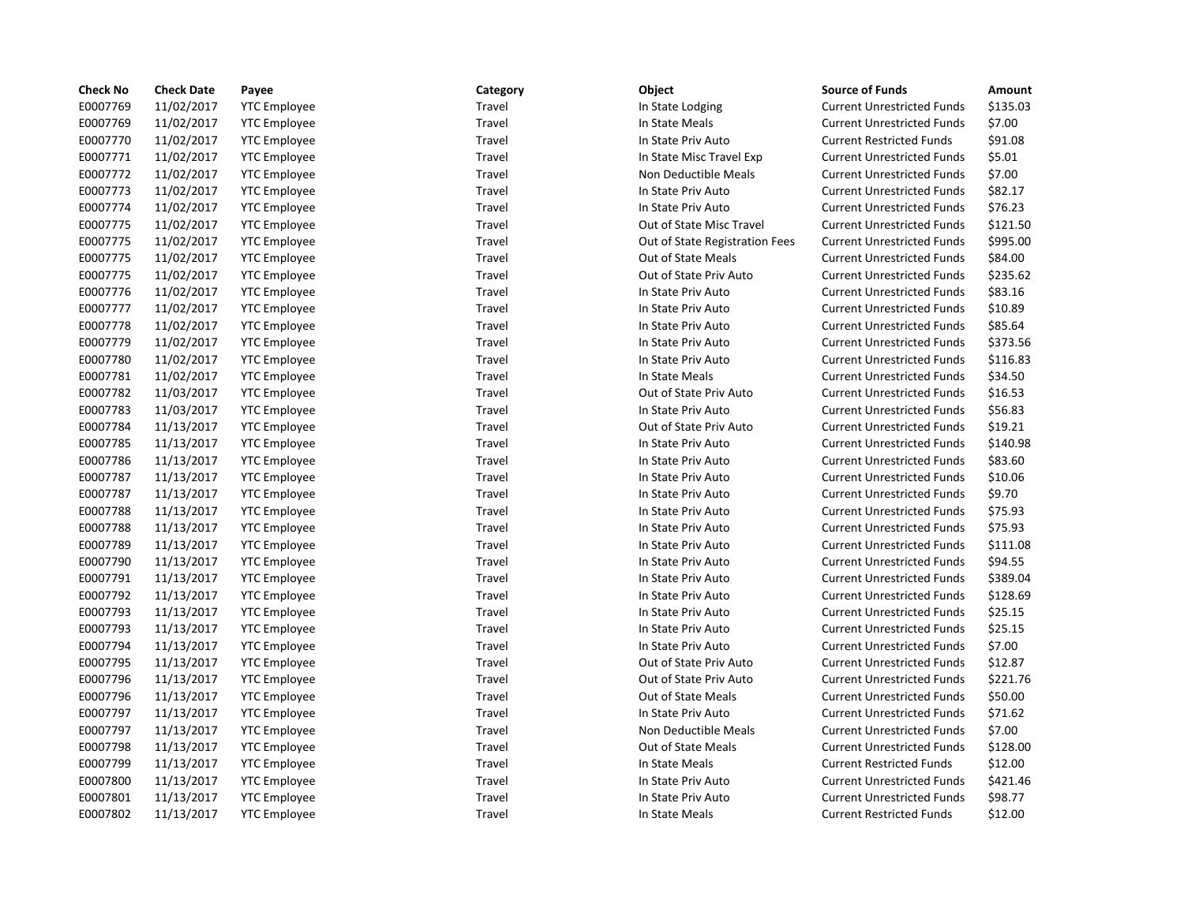| <b>Check No</b> | <b>Check Date</b> | Payee               | Category | Object                         | <b>Source of Funds</b>            | Amount   |
|-----------------|-------------------|---------------------|----------|--------------------------------|-----------------------------------|----------|
| E0007769        | 11/02/2017        | <b>YTC Employee</b> | Travel   | In State Lodging               | <b>Current Unrestricted Funds</b> | \$135.03 |
| E0007769        | 11/02/2017        | <b>YTC Employee</b> | Travel   | In State Meals                 | <b>Current Unrestricted Funds</b> | \$7.00   |
| E0007770        | 11/02/2017        | <b>YTC Employee</b> | Travel   | In State Priv Auto             | <b>Current Restricted Funds</b>   | \$91.08  |
| E0007771        | 11/02/2017        | <b>YTC Employee</b> | Travel   | In State Misc Travel Exp       | <b>Current Unrestricted Funds</b> | \$5.01   |
| E0007772        | 11/02/2017        | <b>YTC Employee</b> | Travel   | Non Deductible Meals           | <b>Current Unrestricted Funds</b> | \$7.00   |
| E0007773        | 11/02/2017        | <b>YTC Employee</b> | Travel   | In State Priv Auto             | <b>Current Unrestricted Funds</b> | \$82.17  |
| E0007774        | 11/02/2017        | <b>YTC Employee</b> | Travel   | In State Priv Auto             | <b>Current Unrestricted Funds</b> | \$76.23  |
| E0007775        | 11/02/2017        | <b>YTC Employee</b> | Travel   | Out of State Misc Travel       | <b>Current Unrestricted Funds</b> | \$121.50 |
| E0007775        | 11/02/2017        | <b>YTC Employee</b> | Travel   | Out of State Registration Fees | <b>Current Unrestricted Funds</b> | \$995.00 |
| E0007775        | 11/02/2017        | <b>YTC Employee</b> | Travel   | <b>Out of State Meals</b>      | <b>Current Unrestricted Funds</b> | \$84.00  |
| E0007775        | 11/02/2017        | <b>YTC Employee</b> | Travel   | Out of State Priv Auto         | <b>Current Unrestricted Funds</b> | \$235.62 |
| E0007776        | 11/02/2017        | <b>YTC Employee</b> | Travel   | In State Priv Auto             | <b>Current Unrestricted Funds</b> | \$83.16  |
| E0007777        | 11/02/2017        | <b>YTC Employee</b> | Travel   | In State Priv Auto             | <b>Current Unrestricted Funds</b> | \$10.89  |
| E0007778        | 11/02/2017        | <b>YTC Employee</b> | Travel   | In State Priv Auto             | <b>Current Unrestricted Funds</b> | \$85.64  |
| E0007779        | 11/02/2017        | <b>YTC Employee</b> | Travel   | In State Priv Auto             | <b>Current Unrestricted Funds</b> | \$373.56 |
| E0007780        | 11/02/2017        | <b>YTC Employee</b> | Travel   | In State Priv Auto             | <b>Current Unrestricted Funds</b> | \$116.83 |
| E0007781        | 11/02/2017        | <b>YTC Employee</b> | Travel   | In State Meals                 | <b>Current Unrestricted Funds</b> | \$34.50  |
| E0007782        | 11/03/2017        | <b>YTC Employee</b> | Travel   | Out of State Priv Auto         | <b>Current Unrestricted Funds</b> | \$16.53  |
| E0007783        | 11/03/2017        | <b>YTC Employee</b> | Travel   | In State Priv Auto             | <b>Current Unrestricted Funds</b> | \$56.83  |
| E0007784        | 11/13/2017        | <b>YTC Employee</b> | Travel   | Out of State Priv Auto         | <b>Current Unrestricted Funds</b> | \$19.21  |
| E0007785        | 11/13/2017        | <b>YTC Employee</b> | Travel   | In State Priv Auto             | <b>Current Unrestricted Funds</b> | \$140.98 |
| E0007786        | 11/13/2017        | <b>YTC Employee</b> | Travel   | In State Priv Auto             | <b>Current Unrestricted Funds</b> | \$83.60  |
| E0007787        | 11/13/2017        | <b>YTC Employee</b> | Travel   | In State Priv Auto             | <b>Current Unrestricted Funds</b> | \$10.06  |
| E0007787        | 11/13/2017        | <b>YTC Employee</b> | Travel   | In State Priv Auto             | <b>Current Unrestricted Funds</b> | \$9.70   |
| E0007788        | 11/13/2017        | <b>YTC Employee</b> | Travel   | In State Priv Auto             | <b>Current Unrestricted Funds</b> | \$75.93  |
| E0007788        | 11/13/2017        | <b>YTC Employee</b> | Travel   | In State Priv Auto             | <b>Current Unrestricted Funds</b> | \$75.93  |
| E0007789        | 11/13/2017        | <b>YTC Employee</b> | Travel   | In State Priv Auto             | <b>Current Unrestricted Funds</b> | \$111.08 |
| E0007790        | 11/13/2017        | <b>YTC Employee</b> | Travel   | In State Priv Auto             | <b>Current Unrestricted Funds</b> | \$94.55  |
| E0007791        | 11/13/2017        | <b>YTC Employee</b> | Travel   | In State Priv Auto             | <b>Current Unrestricted Funds</b> | \$389.04 |
| E0007792        | 11/13/2017        | <b>YTC Employee</b> | Travel   | In State Priv Auto             | <b>Current Unrestricted Funds</b> | \$128.69 |
| E0007793        | 11/13/2017        | <b>YTC Employee</b> | Travel   | In State Priv Auto             | <b>Current Unrestricted Funds</b> | \$25.15  |
| E0007793        | 11/13/2017        | <b>YTC Employee</b> | Travel   | In State Priv Auto             | <b>Current Unrestricted Funds</b> | \$25.15  |
| E0007794        | 11/13/2017        | <b>YTC Employee</b> | Travel   | In State Priv Auto             | <b>Current Unrestricted Funds</b> | \$7.00   |
| E0007795        | 11/13/2017        | <b>YTC Employee</b> | Travel   | Out of State Priv Auto         | <b>Current Unrestricted Funds</b> | \$12.87  |
| E0007796        | 11/13/2017        | <b>YTC Employee</b> | Travel   | Out of State Priv Auto         | <b>Current Unrestricted Funds</b> | \$221.76 |
| E0007796        | 11/13/2017        | <b>YTC Employee</b> | Travel   | Out of State Meals             | <b>Current Unrestricted Funds</b> | \$50.00  |
| E0007797        | 11/13/2017        | <b>YTC Employee</b> | Travel   | In State Priv Auto             | <b>Current Unrestricted Funds</b> | \$71.62  |
| E0007797        | 11/13/2017        | <b>YTC Employee</b> | Travel   | Non Deductible Meals           | <b>Current Unrestricted Funds</b> | \$7.00   |
| E0007798        | 11/13/2017        | <b>YTC Employee</b> | Travel   | <b>Out of State Meals</b>      | <b>Current Unrestricted Funds</b> | \$128.00 |
| E0007799        | 11/13/2017        | <b>YTC Employee</b> | Travel   | In State Meals                 | <b>Current Restricted Funds</b>   | \$12.00  |
| E0007800        | 11/13/2017        | <b>YTC Employee</b> | Travel   | In State Priv Auto             | <b>Current Unrestricted Funds</b> | \$421.46 |
| E0007801        | 11/13/2017        | <b>YTC Employee</b> | Travel   | In State Priv Auto             | <b>Current Unrestricted Funds</b> | \$98.77  |
| E0007802        | 11/13/2017        | <b>YTC Employee</b> | Travel   | In State Meals                 | <b>Current Restricted Funds</b>   | \$12.00  |
|                 |                   |                     |          |                                |                                   |          |